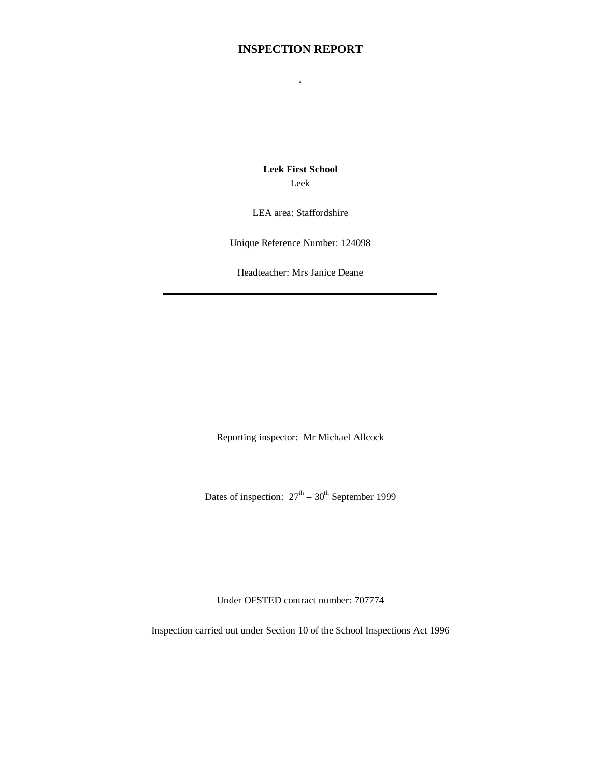# **INSPECTION REPORT**

**.**

**Leek First School** Leek

LEA area: Staffordshire

Unique Reference Number: 124098

Headteacher: Mrs Janice Deane

Reporting inspector: Mr Michael Allcock

Dates of inspection:  $27<sup>th</sup> - 30<sup>th</sup>$  September 1999

Under OFSTED contract number: 707774

Inspection carried out under Section 10 of the School Inspections Act 1996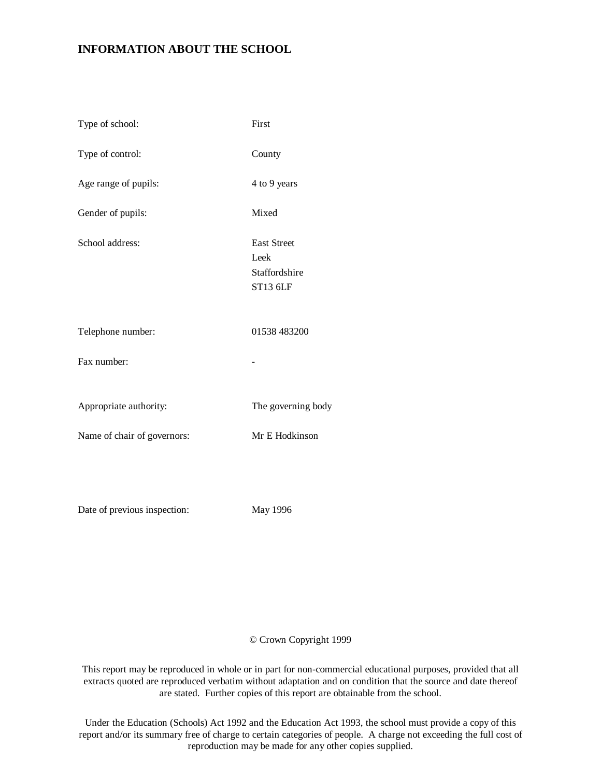# **INFORMATION ABOUT THE SCHOOL**

| Type of school:             | First                                                   |
|-----------------------------|---------------------------------------------------------|
| Type of control:            | County                                                  |
| Age range of pupils:        | 4 to 9 years                                            |
| Gender of pupils:           | Mixed                                                   |
| School address:             | <b>East Street</b><br>Leek<br>Staffordshire<br>ST13 6LF |
| Telephone number:           | 01538 483200                                            |
| Fax number:                 |                                                         |
| Appropriate authority:      | The governing body                                      |
| Name of chair of governors: | Mr E Hodkinson                                          |
|                             |                                                         |

Date of previous inspection: May 1996

## © Crown Copyright 1999

This report may be reproduced in whole or in part for non-commercial educational purposes, provided that all extracts quoted are reproduced verbatim without adaptation and on condition that the source and date thereof are stated. Further copies of this report are obtainable from the school.

Under the Education (Schools) Act 1992 and the Education Act 1993, the school must provide a copy of this report and/or its summary free of charge to certain categories of people. A charge not exceeding the full cost of reproduction may be made for any other copies supplied.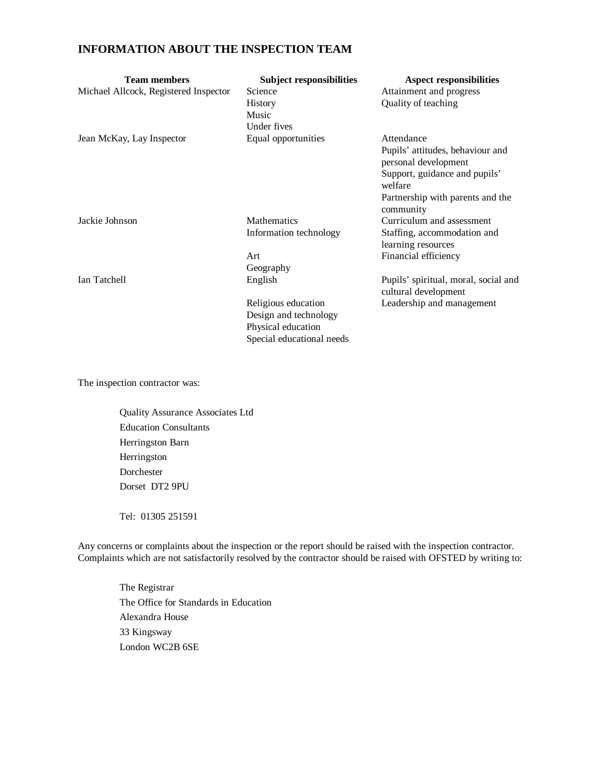# **INFORMATION ABOUT THE INSPECTION TEAM**

| <b>Team members</b><br>Michael Allcock, Registered Inspector | <b>Subject responsibilities</b><br>Science<br>History<br>Music<br>Under fives                   | <b>Aspect responsibilities</b><br>Attainment and progress<br>Quality of teaching                                                                                    |
|--------------------------------------------------------------|-------------------------------------------------------------------------------------------------|---------------------------------------------------------------------------------------------------------------------------------------------------------------------|
| Jean McKay, Lay Inspector                                    | Equal opportunities                                                                             | Attendance<br>Pupils' attitudes, behaviour and<br>personal development<br>Support, guidance and pupils'<br>welfare<br>Partnership with parents and the<br>community |
| Jackie Johnson                                               | <b>Mathematics</b><br>Information technology                                                    | Curriculum and assessment<br>Staffing, accommodation and<br>learning resources                                                                                      |
|                                                              | Art<br>Geography                                                                                | Financial efficiency                                                                                                                                                |
| Ian Tatchell                                                 | English                                                                                         | Pupils' spiritual, moral, social and<br>cultural development                                                                                                        |
|                                                              | Religious education<br>Design and technology<br>Physical education<br>Special educational needs | Leadership and management                                                                                                                                           |

The inspection contractor was:

Quality Assurance Associates Ltd Education Consultants Herringston Barn Herringston Dorchester Dorset DT2 9PU

Tel: 01305 251591

Any concerns or complaints about the inspection or the report should be raised with the inspection contractor. Complaints which are not satisfactorily resolved by the contractor should be raised with OFSTED by writing to:

The Registrar The Office for Standards in Education Alexandra House 33 Kingsway London WC2B 6SE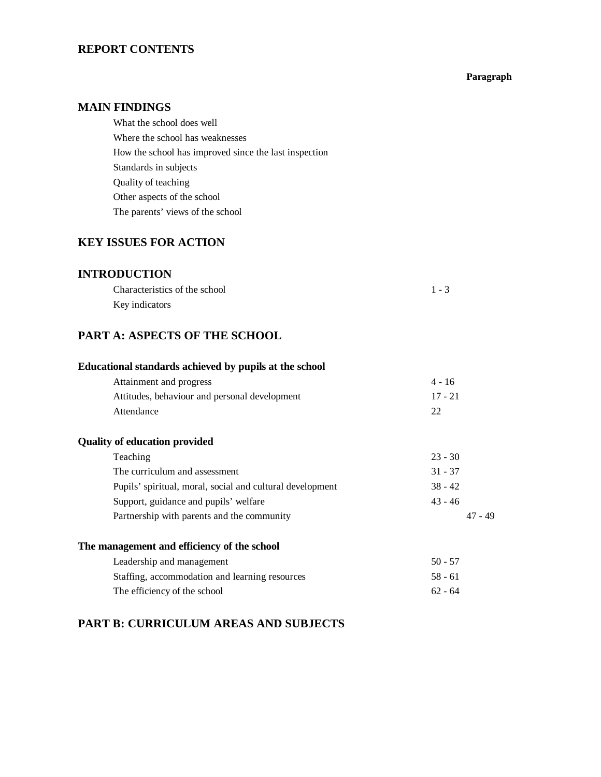# **REPORT CONTENTS**

#### **Paragraph**

## **MAIN FINDINGS**

What the school does well Where the school has weaknesses How the school has improved since the last inspection Standards in subjects Quality of teaching Other aspects of the school The parents' views of the school

# **KEY ISSUES FOR ACTION**

# **INTRODUCTION**

| Characteristics of the school | $1 - 3$ |
|-------------------------------|---------|
| Key indicators                |         |

# **PART A: ASPECTS OF THE SCHOOL**

# **Educational standards achieved by pupils at the school**

| Attainment and progress                       | 4 - 16    |
|-----------------------------------------------|-----------|
| Attitudes, behaviour and personal development | $17 - 21$ |
| Attendance                                    |           |

## **Quality of education provided**

| Teaching                                                  | $23 - 30$ |
|-----------------------------------------------------------|-----------|
| The curriculum and assessment                             | $31 - 37$ |
| Pupils' spiritual, moral, social and cultural development | $38 - 42$ |
| Support, guidance and pupils' welfare                     | $43 - 46$ |
| Partnership with parents and the community                | 47 - 49   |
|                                                           |           |

## **The management and efficiency of the school**

| Leadership and management                      | $50 - 57$ |
|------------------------------------------------|-----------|
| Staffing, accommodation and learning resources | 58 - 61   |
| The efficiency of the school                   | $62 - 64$ |

# **PART B: CURRICULUM AREAS AND SUBJECTS**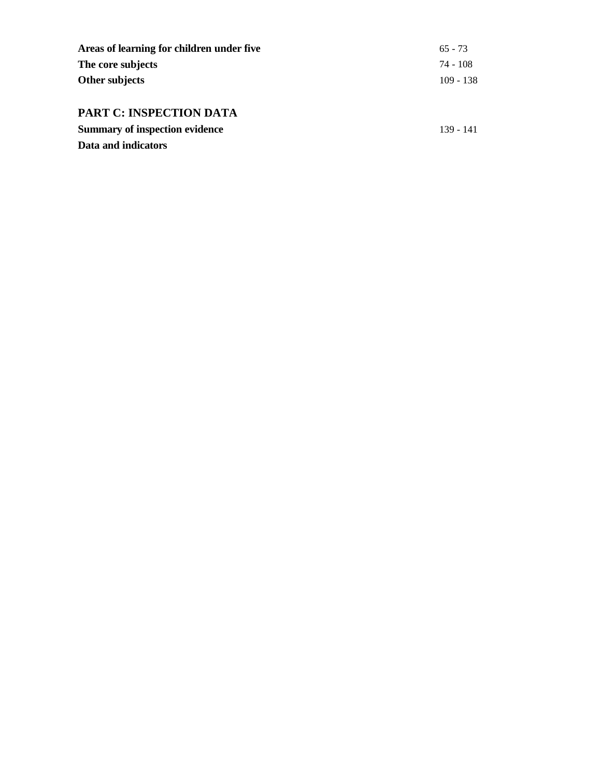| Areas of learning for children under five | $65 - 73$   |
|-------------------------------------------|-------------|
| The core subjects                         | 74 - 108    |
| Other subjects                            | $109 - 138$ |
|                                           |             |
| <b>PART C: INSPECTION DATA</b>            |             |
| <b>Summary of inspection evidence</b>     | 139 - 141   |

**Data and indicators**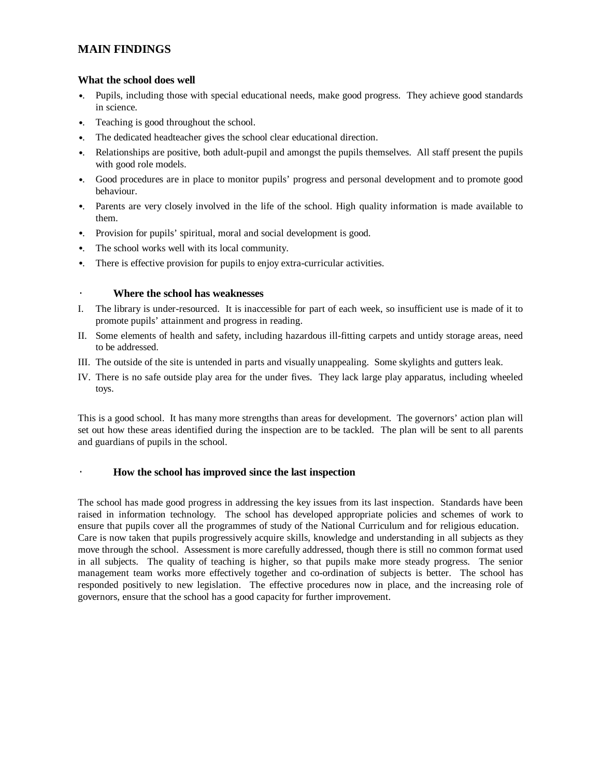# **MAIN FINDINGS**

#### **What the school does well**

- •. Pupils, including those with special educational needs, make good progress. They achieve good standards in science.
- •. Teaching is good throughout the school.
- •. The dedicated headteacher gives the school clear educational direction.
- •. Relationships are positive, both adult-pupil and amongst the pupils themselves. All staff present the pupils with good role models.
- •. Good procedures are in place to monitor pupils' progress and personal development and to promote good behaviour.
- •. Parents are very closely involved in the life of the school. High quality information is made available to them.
- •. Provision for pupils' spiritual, moral and social development is good.
- •. The school works well with its local community.
- •. There is effective provision for pupils to enjoy extra-curricular activities.

## · **Where the school has weaknesses**

- I. The library is under-resourced. It is inaccessible for part of each week, so insufficient use is made of it to promote pupils' attainment and progress in reading.
- II. Some elements of health and safety, including hazardous ill-fitting carpets and untidy storage areas, need to be addressed.
- III. The outside of the site is untended in parts and visually unappealing. Some skylights and gutters leak.
- IV. There is no safe outside play area for the under fives. They lack large play apparatus, including wheeled toys.

This is a good school. It has many more strengths than areas for development. The governors' action plan will set out how these areas identified during the inspection are to be tackled. The plan will be sent to all parents and guardians of pupils in the school.

## · **How the school has improved since the last inspection**

The school has made good progress in addressing the key issues from its last inspection. Standards have been raised in information technology. The school has developed appropriate policies and schemes of work to ensure that pupils cover all the programmes of study of the National Curriculum and for religious education. Care is now taken that pupils progressively acquire skills, knowledge and understanding in all subjects as they move through the school. Assessment is more carefully addressed, though there is still no common format used in all subjects. The quality of teaching is higher, so that pupils make more steady progress. The senior management team works more effectively together and co-ordination of subjects is better. The school has responded positively to new legislation. The effective procedures now in place, and the increasing role of governors, ensure that the school has a good capacity for further improvement.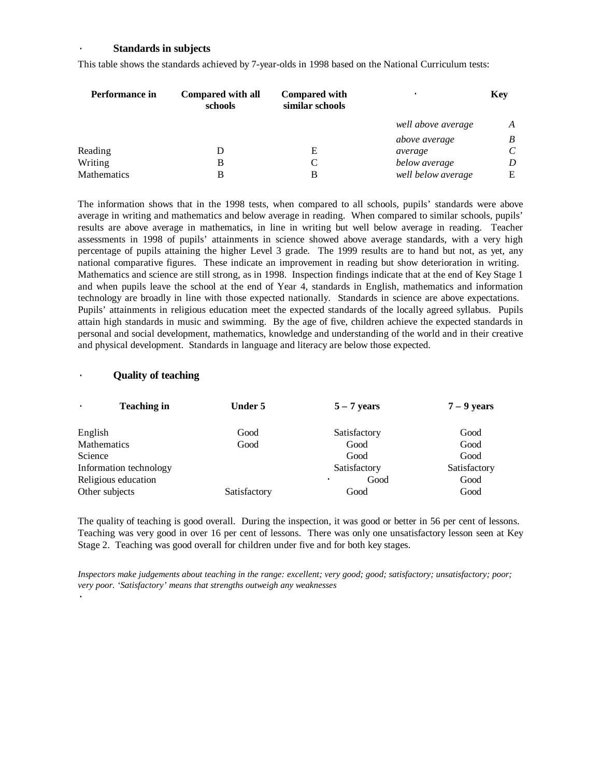#### · **Standards in subjects**

| Performance in | Compared with all<br>schools | <b>Compared with</b><br>similar schools |                    | <b>Key</b> |
|----------------|------------------------------|-----------------------------------------|--------------------|------------|
|                |                              |                                         | well above average | A          |
|                |                              |                                         | above average      | B          |
| Reading        |                              | Е                                       | average            | C          |
| Writing        | В                            | C                                       | below average      | D          |
| Mathematics    | В                            | B                                       | well below average | Е          |

This table shows the standards achieved by 7-year-olds in 1998 based on the National Curriculum tests:

The information shows that in the 1998 tests, when compared to all schools, pupils' standards were above average in writing and mathematics and below average in reading. When compared to similar schools, pupils' results are above average in mathematics, in line in writing but well below average in reading. Teacher assessments in 1998 of pupils' attainments in science showed above average standards, with a very high percentage of pupils attaining the higher Level 3 grade. The 1999 results are to hand but not, as yet, any national comparative figures. These indicate an improvement in reading but show deterioration in writing. Mathematics and science are still strong, as in 1998. Inspection findings indicate that at the end of Key Stage 1 and when pupils leave the school at the end of Year 4, standards in English, mathematics and information technology are broadly in line with those expected nationally. Standards in science are above expectations. Pupils' attainments in religious education meet the expected standards of the locally agreed syllabus. Pupils attain high standards in music and swimming. By the age of five, children achieve the expected standards in personal and social development, mathematics, knowledge and understanding of the world and in their creative and physical development. Standards in language and literacy are below those expected.

#### · **Quality of teaching**

| <b>Teaching in</b><br>$\cdot$ | <b>Under 5</b> | $5 - 7$ vears     | $7 - 9$ years |
|-------------------------------|----------------|-------------------|---------------|
| English                       | Good           | Satisfactory      | Good          |
| <b>Mathematics</b>            | Good           | Good              | Good          |
| Science                       |                | Good              | Good          |
| Information technology        |                | Satisfactory      | Satisfactory  |
| Religious education           |                | Good<br>$\bullet$ | Good          |
| Other subjects                | Satisfactory   | Good              | Good          |

The quality of teaching is good overall. During the inspection, it was good or better in 56 per cent of lessons. Teaching was very good in over 16 per cent of lessons. There was only one unsatisfactory lesson seen at Key Stage 2. Teaching was good overall for children under five and for both key stages.

*Inspectors make judgements about teaching in the range: excellent; very good; good; satisfactory; unsatisfactory; poor; very poor. 'Satisfactory' means that strengths outweigh any weaknesses* ·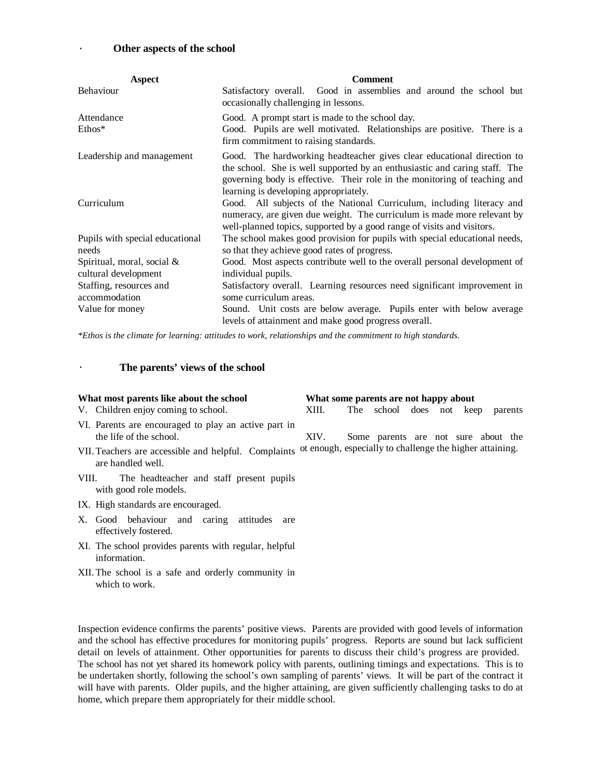#### Other aspects of the school

| <b>Aspect</b>                                      | <b>Comment</b>                                                                                                                                                                                                                                                             |  |  |  |
|----------------------------------------------------|----------------------------------------------------------------------------------------------------------------------------------------------------------------------------------------------------------------------------------------------------------------------------|--|--|--|
| <b>Behaviour</b>                                   | Satisfactory overall. Good in assemblies and around the school but<br>occasionally challenging in lessons.                                                                                                                                                                 |  |  |  |
| Attendance<br>Ethos*                               | Good. A prompt start is made to the school day.<br>Good. Pupils are well motivated. Relationships are positive. There is a<br>firm commitment to raising standards.                                                                                                        |  |  |  |
| Leadership and management                          | Good. The hardworking headteacher gives clear educational direction to<br>the school. She is well supported by an enthusiastic and caring staff. The<br>governing body is effective. Their role in the monitoring of teaching and<br>learning is developing appropriately. |  |  |  |
| Curriculum                                         | Good. All subjects of the National Curriculum, including literacy and<br>numeracy, are given due weight. The curriculum is made more relevant by<br>well-planned topics, supported by a good range of visits and visitors.                                                 |  |  |  |
| Pupils with special educational<br>needs           | The school makes good provision for pupils with special educational needs,<br>so that they achieve good rates of progress.                                                                                                                                                 |  |  |  |
| Spiritual, moral, social &<br>cultural development | Good. Most aspects contribute well to the overall personal development of<br>individual pupils.                                                                                                                                                                            |  |  |  |
| Staffing, resources and<br>accommodation           | Satisfactory overall. Learning resources need significant improvement in<br>some curriculum areas.                                                                                                                                                                         |  |  |  |
| Value for money                                    | Sound. Unit costs are below average. Pupils enter with below average<br>levels of attainment and make good progress overall.                                                                                                                                               |  |  |  |

*\*Ethos is the climate for learning: attitudes to work, relationships and the commitment to high standards.*

#### The parents' views of the school

#### **What most parents like about the school What some parents are not happy about**

- V. Children enjoy coming to school.
- VI. Parents are encouraged to play an active part in the life of the school.
- VII.Teachers are accessible and helpful. Complaints ot enough, especially to challenge the higher attaining. are handled well.
- VIII. The headteacher and staff present pupils with good role models.
- IX. High standards are encouraged.
- X. Good behaviour and caring attitudes are effectively fostered.
- XI. The school provides parents with regular, helpful information.
- XII.The school is a safe and orderly community in which to work.

## Inspection evidence confirms the parents' positive views. Parents are provided with good levels of information and the school has effective procedures for monitoring pupils' progress. Reports are sound but lack sufficient detail on levels of attainment. Other opportunities for parents to discuss their child's progress are provided. The school has not yet shared its homework policy with parents, outlining timings and expectations. This is to be undertaken shortly, following the school's own sampling of parents' views. It will be part of the contract it will have with parents. Older pupils, and the higher attaining, are given sufficiently challenging tasks to do at home, which prepare them appropriately for their middle school.

XIII. The school does not keep parents

XIV. Some parents are not sure about the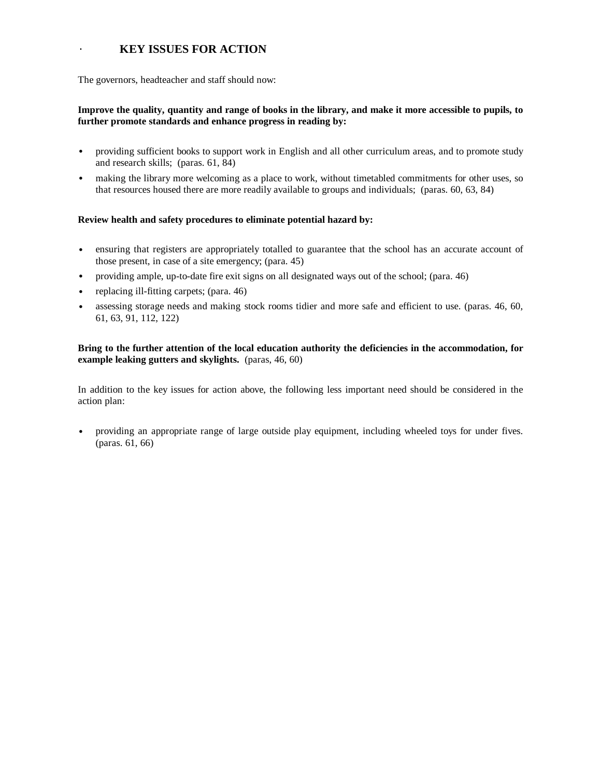# · **KEY ISSUES FOR ACTION**

The governors, headteacher and staff should now:

## **Improve the quality, quantity and range of books in the library, and make it more accessible to pupils, to further promote standards and enhance progress in reading by:**

- providing sufficient books to support work in English and all other curriculum areas, and to promote study and research skills; (paras. 61, 84)
- making the library more welcoming as a place to work, without timetabled commitments for other uses, so that resources housed there are more readily available to groups and individuals; (paras. 60, 63, 84)

## **Review health and safety procedures to eliminate potential hazard by:**

- ensuring that registers are appropriately totalled to guarantee that the school has an accurate account of those present, in case of a site emergency; (para. 45)
- providing ample, up-to-date fire exit signs on all designated ways out of the school; (para. 46)
- replacing ill-fitting carpets; (para. 46)
- assessing storage needs and making stock rooms tidier and more safe and efficient to use. (paras. 46, 60, 61, 63, 91, 112, 122)

## **Bring to the further attention of the local education authority the deficiencies in the accommodation, for example leaking gutters and skylights.** (paras, 46, 60)

In addition to the key issues for action above, the following less important need should be considered in the action plan:

• providing an appropriate range of large outside play equipment, including wheeled toys for under fives. (paras. 61, 66)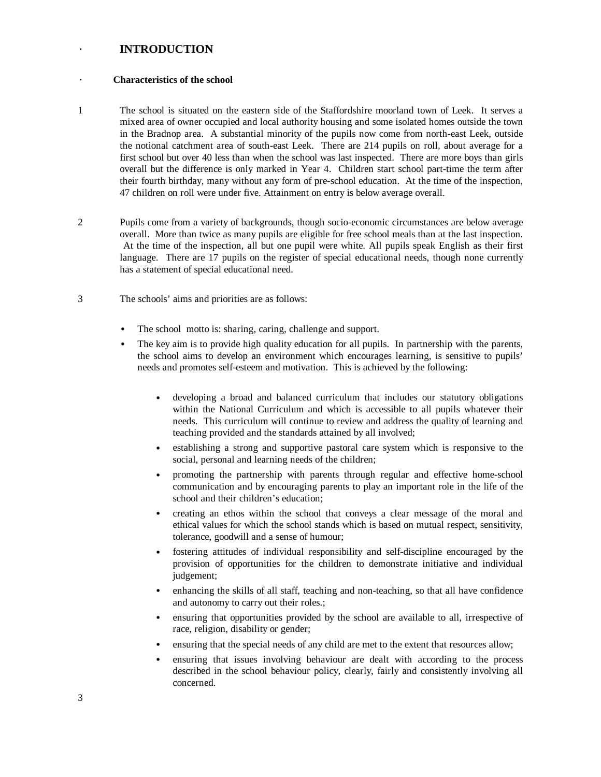# · **INTRODUCTION**

#### · **Characteristics of the school**

- 1 The school is situated on the eastern side of the Staffordshire moorland town of Leek. It serves a mixed area of owner occupied and local authority housing and some isolated homes outside the town in the Bradnop area. A substantial minority of the pupils now come from north-east Leek, outside the notional catchment area of south-east Leek. There are 214 pupils on roll, about average for a first school but over 40 less than when the school was last inspected. There are more boys than girls overall but the difference is only marked in Year 4. Children start school part-time the term after their fourth birthday, many without any form of pre-school education. At the time of the inspection, 47 children on roll were under five. Attainment on entry is below average overall.
- 2 Pupils come from a variety of backgrounds, though socio-economic circumstances are below average overall. More than twice as many pupils are eligible for free school meals than at the last inspection. At the time of the inspection, all but one pupil were white. All pupils speak English as their first language. There are 17 pupils on the register of special educational needs, though none currently has a statement of special educational need.
- 3 The schools' aims and priorities are as follows:
	- The school motto is: sharing, caring, challenge and support.
	- The key aim is to provide high quality education for all pupils. In partnership with the parents, the school aims to develop an environment which encourages learning, is sensitive to pupils' needs and promotes self-esteem and motivation. This is achieved by the following:
		- developing a broad and balanced curriculum that includes our statutory obligations within the National Curriculum and which is accessible to all pupils whatever their needs. This curriculum will continue to review and address the quality of learning and teaching provided and the standards attained by all involved;
		- establishing a strong and supportive pastoral care system which is responsive to the social, personal and learning needs of the children;
		- promoting the partnership with parents through regular and effective home-school communication and by encouraging parents to play an important role in the life of the school and their children's education;
		- creating an ethos within the school that conveys a clear message of the moral and ethical values for which the school stands which is based on mutual respect, sensitivity, tolerance, goodwill and a sense of humour;
		- fostering attitudes of individual responsibility and self-discipline encouraged by the provision of opportunities for the children to demonstrate initiative and individual judgement;
		- enhancing the skills of all staff, teaching and non-teaching, so that all have confidence and autonomy to carry out their roles.;
		- ensuring that opportunities provided by the school are available to all, irrespective of race, religion, disability or gender;
		- ensuring that the special needs of any child are met to the extent that resources allow;
		- ensuring that issues involving behaviour are dealt with according to the process described in the school behaviour policy, clearly, fairly and consistently involving all concerned.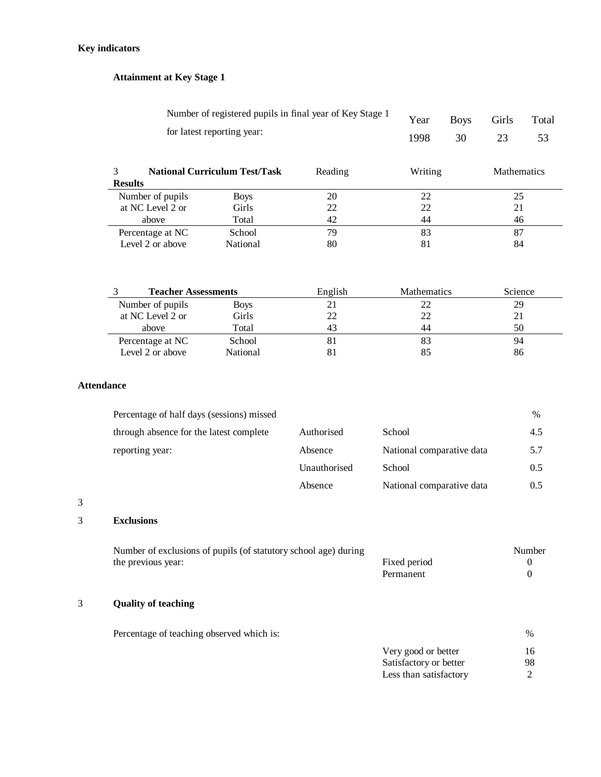# **Key indicators**

# **Attainment at Key Stage 1**

| Number of registered pupils in final year of Key Stage 1<br>for latest reporting year: |                                      | Year<br>1998 | <b>Boys</b><br>30 | Girls<br>23 | Total<br>53        |  |
|----------------------------------------------------------------------------------------|--------------------------------------|--------------|-------------------|-------------|--------------------|--|
| <b>Results</b>                                                                         | <b>National Curriculum Test/Task</b> | Reading      | Writing           |             | <b>Mathematics</b> |  |
| Number of pupils                                                                       | <b>Boys</b>                          | 20           | 22                |             | 25                 |  |
| at NC Level 2 or                                                                       | Girls                                | 22           | 22                |             | 21                 |  |
| above                                                                                  | Total                                | 42           | 44                |             | 46                 |  |

Percentage at NC School 79 83 87 Level 2 or above Mational 80 81 84

| <b>Teacher Assessments</b> |             | English | <b>Mathematics</b> | Science |
|----------------------------|-------------|---------|--------------------|---------|
| Number of pupils           | <b>Boys</b> |         | 22                 | 29      |
| at NC Level 2 or           | Girls       |         | 22                 |         |
| above                      | Total       | 43      | 44                 | 50      |
| Percentage at NC           | School      | 81      | 83                 | 94      |
| Level 2 or above           | National    |         | 85                 | 86      |

## **Attendance**

| Percentage of half days (sessions) missed |              |                           | $\%$          |
|-------------------------------------------|--------------|---------------------------|---------------|
| through absence for the latest complete   | Authorised   | School                    | 4.5           |
| reporting year:                           | Absence      | National comparative data | 5.7           |
|                                           | Unauthorised | School                    | $0.5^{\circ}$ |
|                                           | Absence      | National comparative data | $0.5^{\circ}$ |

## 3

# 3 **Exclusions**

| Number of exclusions of pupils (of statutory school age) during |              | Number |
|-----------------------------------------------------------------|--------------|--------|
| the previous year:                                              | Fixed period |        |
|                                                                 | Permanent    |        |

# 3 **Quality of teaching**

| Percentage of teaching observed which is: |                        | $\%$ |
|-------------------------------------------|------------------------|------|
|                                           | Very good or better    | 16   |
|                                           | Satisfactory or better | 98.  |
|                                           | Less than satisfactory |      |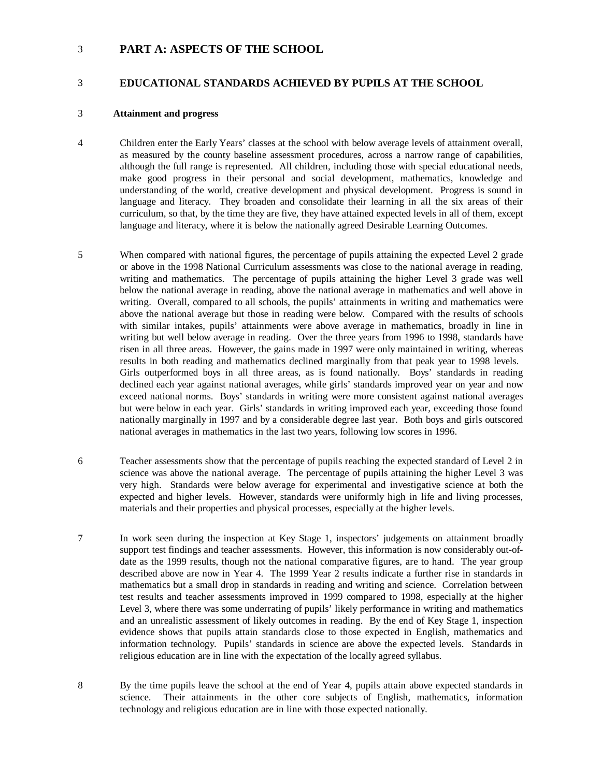# 3 **PART A: ASPECTS OF THE SCHOOL**

## 3 **EDUCATIONAL STANDARDS ACHIEVED BY PUPILS AT THE SCHOOL**

#### 3 **Attainment and progress**

- 4 Children enter the Early Years' classes at the school with below average levels of attainment overall, as measured by the county baseline assessment procedures, across a narrow range of capabilities, although the full range is represented. All children, including those with special educational needs, make good progress in their personal and social development, mathematics, knowledge and understanding of the world, creative development and physical development. Progress is sound in language and literacy. They broaden and consolidate their learning in all the six areas of their curriculum, so that, by the time they are five, they have attained expected levels in all of them, except language and literacy, where it is below the nationally agreed Desirable Learning Outcomes.
- 5 When compared with national figures, the percentage of pupils attaining the expected Level 2 grade or above in the 1998 National Curriculum assessments was close to the national average in reading, writing and mathematics. The percentage of pupils attaining the higher Level 3 grade was well below the national average in reading, above the national average in mathematics and well above in writing. Overall, compared to all schools, the pupils' attainments in writing and mathematics were above the national average but those in reading were below. Compared with the results of schools with similar intakes, pupils' attainments were above average in mathematics, broadly in line in writing but well below average in reading. Over the three years from 1996 to 1998, standards have risen in all three areas. However, the gains made in 1997 were only maintained in writing, whereas results in both reading and mathematics declined marginally from that peak year to 1998 levels. Girls outperformed boys in all three areas, as is found nationally. Boys' standards in reading declined each year against national averages, while girls' standards improved year on year and now exceed national norms. Boys' standards in writing were more consistent against national averages but were below in each year. Girls' standards in writing improved each year, exceeding those found nationally marginally in 1997 and by a considerable degree last year. Both boys and girls outscored national averages in mathematics in the last two years, following low scores in 1996.
- 6 Teacher assessments show that the percentage of pupils reaching the expected standard of Level 2 in science was above the national average. The percentage of pupils attaining the higher Level 3 was very high. Standards were below average for experimental and investigative science at both the expected and higher levels. However, standards were uniformly high in life and living processes, materials and their properties and physical processes, especially at the higher levels.
- 7 In work seen during the inspection at Key Stage 1, inspectors' judgements on attainment broadly support test findings and teacher assessments. However, this information is now considerably out-ofdate as the 1999 results, though not the national comparative figures, are to hand. The year group described above are now in Year 4. The 1999 Year 2 results indicate a further rise in standards in mathematics but a small drop in standards in reading and writing and science. Correlation between test results and teacher assessments improved in 1999 compared to 1998, especially at the higher Level 3, where there was some underrating of pupils' likely performance in writing and mathematics and an unrealistic assessment of likely outcomes in reading. By the end of Key Stage 1, inspection evidence shows that pupils attain standards close to those expected in English, mathematics and information technology. Pupils' standards in science are above the expected levels. Standards in religious education are in line with the expectation of the locally agreed syllabus.
- 8 By the time pupils leave the school at the end of Year 4, pupils attain above expected standards in science. Their attainments in the other core subjects of English, mathematics, information technology and religious education are in line with those expected nationally.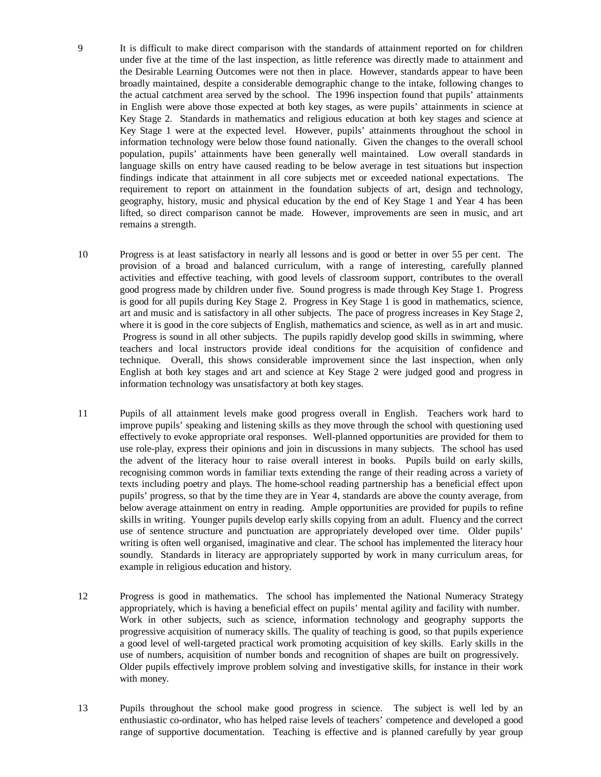- 9 It is difficult to make direct comparison with the standards of attainment reported on for children under five at the time of the last inspection, as little reference was directly made to attainment and the Desirable Learning Outcomes were not then in place. However, standards appear to have been broadly maintained, despite a considerable demographic change to the intake, following changes to the actual catchment area served by the school. The 1996 inspection found that pupils' attainments in English were above those expected at both key stages, as were pupils' attainments in science at Key Stage 2. Standards in mathematics and religious education at both key stages and science at Key Stage 1 were at the expected level. However, pupils' attainments throughout the school in information technology were below those found nationally. Given the changes to the overall school population, pupils' attainments have been generally well maintained. Low overall standards in language skills on entry have caused reading to be below average in test situations but inspection findings indicate that attainment in all core subjects met or exceeded national expectations. The requirement to report on attainment in the foundation subjects of art, design and technology, geography, history, music and physical education by the end of Key Stage 1 and Year 4 has been lifted, so direct comparison cannot be made. However, improvements are seen in music, and art remains a strength.
- 10 Progress is at least satisfactory in nearly all lessons and is good or better in over 55 per cent. The provision of a broad and balanced curriculum, with a range of interesting, carefully planned activities and effective teaching, with good levels of classroom support, contributes to the overall good progress made by children under five. Sound progress is made through Key Stage 1. Progress is good for all pupils during Key Stage 2. Progress in Key Stage 1 is good in mathematics, science, art and music and is satisfactory in all other subjects. The pace of progress increases in Key Stage 2, where it is good in the core subjects of English, mathematics and science, as well as in art and music. Progress is sound in all other subjects. The pupils rapidly develop good skills in swimming, where teachers and local instructors provide ideal conditions for the acquisition of confidence and technique. Overall, this shows considerable improvement since the last inspection, when only English at both key stages and art and science at Key Stage 2 were judged good and progress in information technology was unsatisfactory at both key stages.
- 11 Pupils of all attainment levels make good progress overall in English. Teachers work hard to improve pupils' speaking and listening skills as they move through the school with questioning used effectively to evoke appropriate oral responses. Well-planned opportunities are provided for them to use role-play, express their opinions and join in discussions in many subjects. The school has used the advent of the literacy hour to raise overall interest in books. Pupils build on early skills, recognising common words in familiar texts extending the range of their reading across a variety of texts including poetry and plays. The home-school reading partnership has a beneficial effect upon pupils' progress, so that by the time they are in Year 4, standards are above the county average, from below average attainment on entry in reading. Ample opportunities are provided for pupils to refine skills in writing. Younger pupils develop early skills copying from an adult. Fluency and the correct use of sentence structure and punctuation are appropriately developed over time. Older pupils' writing is often well organised, imaginative and clear. The school has implemented the literacy hour soundly. Standards in literacy are appropriately supported by work in many curriculum areas, for example in religious education and history.
- 12 Progress is good in mathematics. The school has implemented the National Numeracy Strategy appropriately, which is having a beneficial effect on pupils' mental agility and facility with number. Work in other subjects, such as science, information technology and geography supports the progressive acquisition of numeracy skills. The quality of teaching is good, so that pupils experience a good level of well-targeted practical work promoting acquisition of key skills. Early skills in the use of numbers, acquisition of number bonds and recognition of shapes are built on progressively. Older pupils effectively improve problem solving and investigative skills, for instance in their work with money.
- 13 Pupils throughout the school make good progress in science. The subject is well led by an enthusiastic co-ordinator, who has helped raise levels of teachers' competence and developed a good range of supportive documentation. Teaching is effective and is planned carefully by year group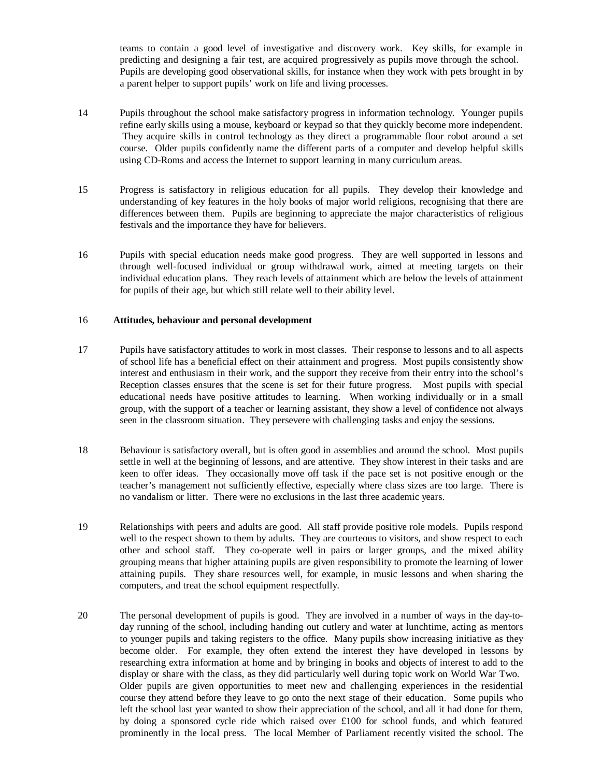teams to contain a good level of investigative and discovery work. Key skills, for example in predicting and designing a fair test, are acquired progressively as pupils move through the school. Pupils are developing good observational skills, for instance when they work with pets brought in by a parent helper to support pupils' work on life and living processes.

- 14 Pupils throughout the school make satisfactory progress in information technology. Younger pupils refine early skills using a mouse, keyboard or keypad so that they quickly become more independent. They acquire skills in control technology as they direct a programmable floor robot around a set course. Older pupils confidently name the different parts of a computer and develop helpful skills using CD-Roms and access the Internet to support learning in many curriculum areas.
- 15 Progress is satisfactory in religious education for all pupils. They develop their knowledge and understanding of key features in the holy books of major world religions, recognising that there are differences between them. Pupils are beginning to appreciate the major characteristics of religious festivals and the importance they have for believers.
- 16 Pupils with special education needs make good progress. They are well supported in lessons and through well-focused individual or group withdrawal work, aimed at meeting targets on their individual education plans. They reach levels of attainment which are below the levels of attainment for pupils of their age, but which still relate well to their ability level.

## 16 **Attitudes, behaviour and personal development**

- 17 Pupils have satisfactory attitudes to work in most classes. Their response to lessons and to all aspects of school life has a beneficial effect on their attainment and progress. Most pupils consistently show interest and enthusiasm in their work, and the support they receive from their entry into the school's Reception classes ensures that the scene is set for their future progress. Most pupils with special educational needs have positive attitudes to learning. When working individually or in a small group, with the support of a teacher or learning assistant, they show a level of confidence not always seen in the classroom situation. They persevere with challenging tasks and enjoy the sessions.
- 18 Behaviour is satisfactory overall, but is often good in assemblies and around the school. Most pupils settle in well at the beginning of lessons, and are attentive. They show interest in their tasks and are keen to offer ideas. They occasionally move off task if the pace set is not positive enough or the teacher's management not sufficiently effective, especially where class sizes are too large. There is no vandalism or litter. There were no exclusions in the last three academic years.
- 19 Relationships with peers and adults are good. All staff provide positive role models. Pupils respond well to the respect shown to them by adults. They are courteous to visitors, and show respect to each other and school staff. They co-operate well in pairs or larger groups, and the mixed ability grouping means that higher attaining pupils are given responsibility to promote the learning of lower attaining pupils. They share resources well, for example, in music lessons and when sharing the computers, and treat the school equipment respectfully.
- 20 The personal development of pupils is good. They are involved in a number of ways in the day-today running of the school, including handing out cutlery and water at lunchtime, acting as mentors to younger pupils and taking registers to the office. Many pupils show increasing initiative as they become older. For example, they often extend the interest they have developed in lessons by researching extra information at home and by bringing in books and objects of interest to add to the display or share with the class, as they did particularly well during topic work on World War Two. Older pupils are given opportunities to meet new and challenging experiences in the residential course they attend before they leave to go onto the next stage of their education. Some pupils who left the school last year wanted to show their appreciation of the school, and all it had done for them, by doing a sponsored cycle ride which raised over £100 for school funds, and which featured prominently in the local press. The local Member of Parliament recently visited the school. The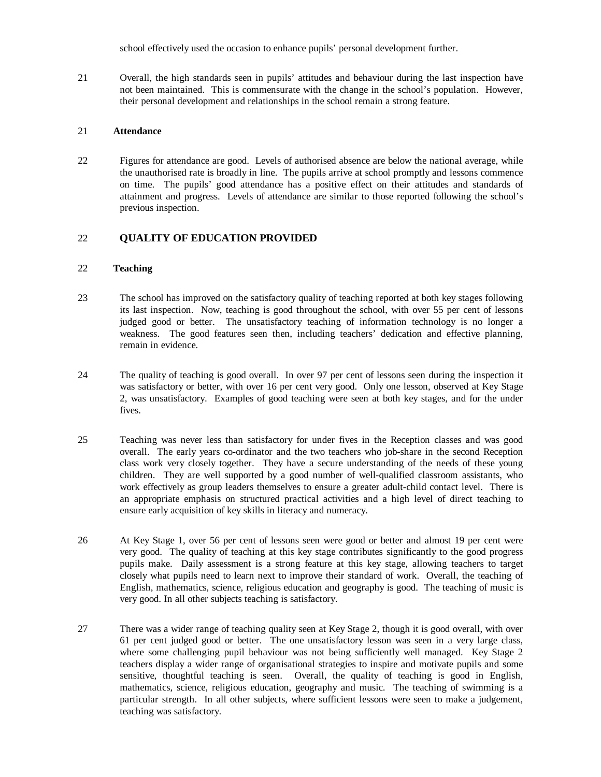school effectively used the occasion to enhance pupils' personal development further.

21 Overall, the high standards seen in pupils' attitudes and behaviour during the last inspection have not been maintained. This is commensurate with the change in the school's population. However, their personal development and relationships in the school remain a strong feature.

#### 21 **Attendance**

22 Figures for attendance are good. Levels of authorised absence are below the national average, while the unauthorised rate is broadly in line. The pupils arrive at school promptly and lessons commence on time. The pupils' good attendance has a positive effect on their attitudes and standards of attainment and progress. Levels of attendance are similar to those reported following the school's previous inspection.

## 22 **QUALITY OF EDUCATION PROVIDED**

## 22 **Teaching**

- 23 The school has improved on the satisfactory quality of teaching reported at both key stages following its last inspection. Now, teaching is good throughout the school, with over 55 per cent of lessons judged good or better. The unsatisfactory teaching of information technology is no longer a weakness. The good features seen then, including teachers' dedication and effective planning, remain in evidence.
- 24 The quality of teaching is good overall. In over 97 per cent of lessons seen during the inspection it was satisfactory or better, with over 16 per cent very good. Only one lesson, observed at Key Stage 2, was unsatisfactory. Examples of good teaching were seen at both key stages, and for the under fives.
- 25 Teaching was never less than satisfactory for under fives in the Reception classes and was good overall. The early years co-ordinator and the two teachers who job-share in the second Reception class work very closely together. They have a secure understanding of the needs of these young children. They are well supported by a good number of well-qualified classroom assistants, who work effectively as group leaders themselves to ensure a greater adult-child contact level. There is an appropriate emphasis on structured practical activities and a high level of direct teaching to ensure early acquisition of key skills in literacy and numeracy.
- 26 At Key Stage 1, over 56 per cent of lessons seen were good or better and almost 19 per cent were very good. The quality of teaching at this key stage contributes significantly to the good progress pupils make. Daily assessment is a strong feature at this key stage, allowing teachers to target closely what pupils need to learn next to improve their standard of work. Overall, the teaching of English, mathematics, science, religious education and geography is good. The teaching of music is very good. In all other subjects teaching is satisfactory.
- 27 There was a wider range of teaching quality seen at Key Stage 2, though it is good overall, with over 61 per cent judged good or better. The one unsatisfactory lesson was seen in a very large class, where some challenging pupil behaviour was not being sufficiently well managed. Key Stage 2 teachers display a wider range of organisational strategies to inspire and motivate pupils and some sensitive, thoughtful teaching is seen. Overall, the quality of teaching is good in English, mathematics, science, religious education, geography and music. The teaching of swimming is a particular strength. In all other subjects, where sufficient lessons were seen to make a judgement, teaching was satisfactory.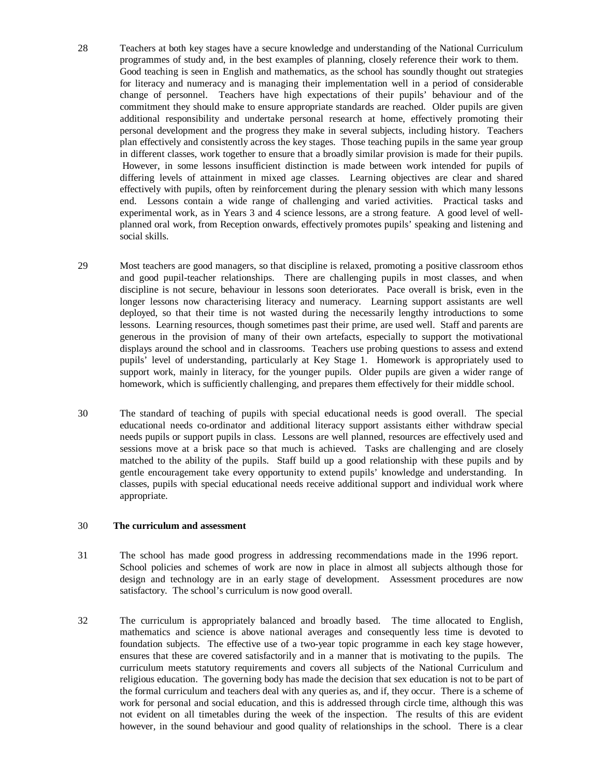- 28 Teachers at both key stages have a secure knowledge and understanding of the National Curriculum programmes of study and, in the best examples of planning, closely reference their work to them. Good teaching is seen in English and mathematics, as the school has soundly thought out strategies for literacy and numeracy and is managing their implementation well in a period of considerable change of personnel. Teachers have high expectations of their pupils' behaviour and of the commitment they should make to ensure appropriate standards are reached. Older pupils are given additional responsibility and undertake personal research at home, effectively promoting their personal development and the progress they make in several subjects, including history. Teachers plan effectively and consistently across the key stages. Those teaching pupils in the same year group in different classes, work together to ensure that a broadly similar provision is made for their pupils. However, in some lessons insufficient distinction is made between work intended for pupils of differing levels of attainment in mixed age classes. Learning objectives are clear and shared effectively with pupils, often by reinforcement during the plenary session with which many lessons end. Lessons contain a wide range of challenging and varied activities. Practical tasks and experimental work, as in Years 3 and 4 science lessons, are a strong feature. A good level of wellplanned oral work, from Reception onwards, effectively promotes pupils' speaking and listening and social skills.
- 29 Most teachers are good managers, so that discipline is relaxed, promoting a positive classroom ethos and good pupil-teacher relationships. There are challenging pupils in most classes, and when discipline is not secure, behaviour in lessons soon deteriorates. Pace overall is brisk, even in the longer lessons now characterising literacy and numeracy. Learning support assistants are well deployed, so that their time is not wasted during the necessarily lengthy introductions to some lessons. Learning resources, though sometimes past their prime, are used well. Staff and parents are generous in the provision of many of their own artefacts, especially to support the motivational displays around the school and in classrooms. Teachers use probing questions to assess and extend pupils' level of understanding, particularly at Key Stage 1. Homework is appropriately used to support work, mainly in literacy, for the younger pupils. Older pupils are given a wider range of homework, which is sufficiently challenging, and prepares them effectively for their middle school.
- 30 The standard of teaching of pupils with special educational needs is good overall. The special educational needs co-ordinator and additional literacy support assistants either withdraw special needs pupils or support pupils in class. Lessons are well planned, resources are effectively used and sessions move at a brisk pace so that much is achieved. Tasks are challenging and are closely matched to the ability of the pupils. Staff build up a good relationship with these pupils and by gentle encouragement take every opportunity to extend pupils' knowledge and understanding. In classes, pupils with special educational needs receive additional support and individual work where appropriate.

#### 30 **The curriculum and assessment**

- 31 The school has made good progress in addressing recommendations made in the 1996 report. School policies and schemes of work are now in place in almost all subjects although those for design and technology are in an early stage of development. Assessment procedures are now satisfactory. The school's curriculum is now good overall.
- 32 The curriculum is appropriately balanced and broadly based. The time allocated to English, mathematics and science is above national averages and consequently less time is devoted to foundation subjects. The effective use of a two-year topic programme in each key stage however, ensures that these are covered satisfactorily and in a manner that is motivating to the pupils. The curriculum meets statutory requirements and covers all subjects of the National Curriculum and religious education. The governing body has made the decision that sex education is not to be part of the formal curriculum and teachers deal with any queries as, and if, they occur. There is a scheme of work for personal and social education, and this is addressed through circle time, although this was not evident on all timetables during the week of the inspection. The results of this are evident however, in the sound behaviour and good quality of relationships in the school. There is a clear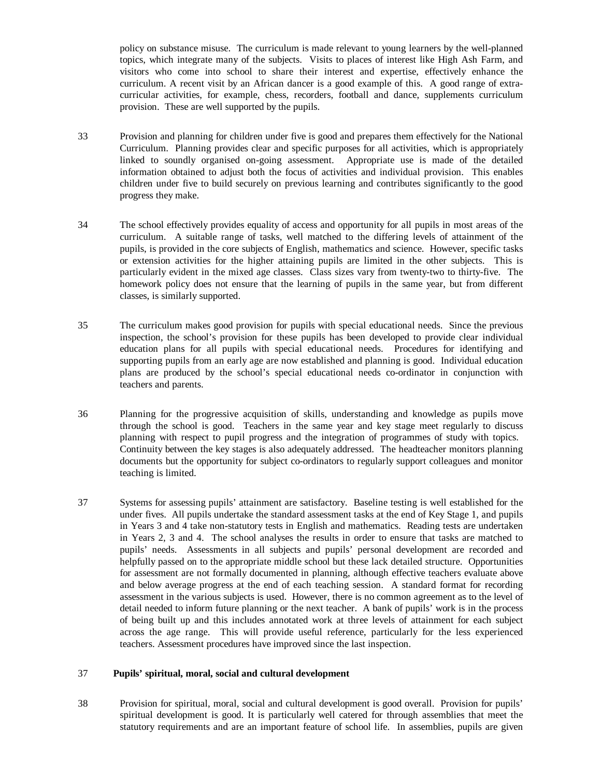policy on substance misuse. The curriculum is made relevant to young learners by the well-planned topics, which integrate many of the subjects. Visits to places of interest like High Ash Farm, and visitors who come into school to share their interest and expertise, effectively enhance the curriculum. A recent visit by an African dancer is a good example of this. A good range of extracurricular activities, for example, chess, recorders, football and dance, supplements curriculum provision. These are well supported by the pupils.

- 33 Provision and planning for children under five is good and prepares them effectively for the National Curriculum. Planning provides clear and specific purposes for all activities, which is appropriately linked to soundly organised on-going assessment. Appropriate use is made of the detailed information obtained to adjust both the focus of activities and individual provision. This enables children under five to build securely on previous learning and contributes significantly to the good progress they make.
- 34 The school effectively provides equality of access and opportunity for all pupils in most areas of the curriculum. A suitable range of tasks, well matched to the differing levels of attainment of the pupils, is provided in the core subjects of English, mathematics and science. However, specific tasks or extension activities for the higher attaining pupils are limited in the other subjects. This is particularly evident in the mixed age classes. Class sizes vary from twenty-two to thirty-five. The homework policy does not ensure that the learning of pupils in the same year, but from different classes, is similarly supported.
- 35 The curriculum makes good provision for pupils with special educational needs. Since the previous inspection, the school's provision for these pupils has been developed to provide clear individual education plans for all pupils with special educational needs. Procedures for identifying and supporting pupils from an early age are now established and planning is good. Individual education plans are produced by the school's special educational needs co-ordinator in conjunction with teachers and parents.
- 36 Planning for the progressive acquisition of skills, understanding and knowledge as pupils move through the school is good. Teachers in the same year and key stage meet regularly to discuss planning with respect to pupil progress and the integration of programmes of study with topics. Continuity between the key stages is also adequately addressed. The headteacher monitors planning documents but the opportunity for subject co-ordinators to regularly support colleagues and monitor teaching is limited.
- 37 Systems for assessing pupils' attainment are satisfactory. Baseline testing is well established for the under fives. All pupils undertake the standard assessment tasks at the end of Key Stage 1, and pupils in Years 3 and 4 take non-statutory tests in English and mathematics. Reading tests are undertaken in Years 2, 3 and 4. The school analyses the results in order to ensure that tasks are matched to pupils' needs. Assessments in all subjects and pupils' personal development are recorded and helpfully passed on to the appropriate middle school but these lack detailed structure. Opportunities for assessment are not formally documented in planning, although effective teachers evaluate above and below average progress at the end of each teaching session. A standard format for recording assessment in the various subjects is used. However, there is no common agreement as to the level of detail needed to inform future planning or the next teacher. A bank of pupils' work is in the process of being built up and this includes annotated work at three levels of attainment for each subject across the age range. This will provide useful reference, particularly for the less experienced teachers. Assessment procedures have improved since the last inspection.

#### 37 **Pupils' spiritual, moral, social and cultural development**

38 Provision for spiritual, moral, social and cultural development is good overall. Provision for pupils' spiritual development is good. It is particularly well catered for through assemblies that meet the statutory requirements and are an important feature of school life. In assemblies, pupils are given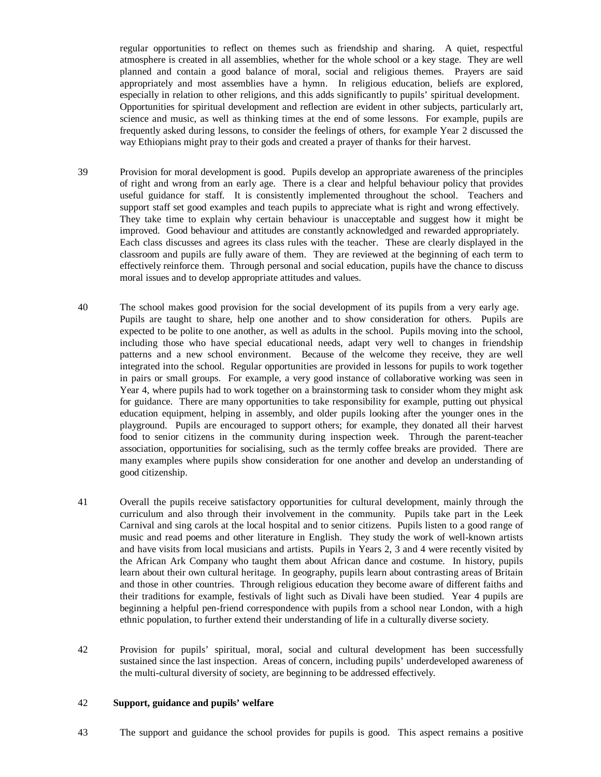regular opportunities to reflect on themes such as friendship and sharing. A quiet, respectful atmosphere is created in all assemblies, whether for the whole school or a key stage. They are well planned and contain a good balance of moral, social and religious themes. Prayers are said appropriately and most assemblies have a hymn. In religious education, beliefs are explored, especially in relation to other religions, and this adds significantly to pupils' spiritual development. Opportunities for spiritual development and reflection are evident in other subjects, particularly art, science and music, as well as thinking times at the end of some lessons. For example, pupils are frequently asked during lessons, to consider the feelings of others, for example Year 2 discussed the way Ethiopians might pray to their gods and created a prayer of thanks for their harvest.

- 39 Provision for moral development is good. Pupils develop an appropriate awareness of the principles of right and wrong from an early age. There is a clear and helpful behaviour policy that provides useful guidance for staff. It is consistently implemented throughout the school. Teachers and support staff set good examples and teach pupils to appreciate what is right and wrong effectively. They take time to explain why certain behaviour is unacceptable and suggest how it might be improved. Good behaviour and attitudes are constantly acknowledged and rewarded appropriately. Each class discusses and agrees its class rules with the teacher. These are clearly displayed in the classroom and pupils are fully aware of them. They are reviewed at the beginning of each term to effectively reinforce them. Through personal and social education, pupils have the chance to discuss moral issues and to develop appropriate attitudes and values.
- 40 The school makes good provision for the social development of its pupils from a very early age. Pupils are taught to share, help one another and to show consideration for others. Pupils are expected to be polite to one another, as well as adults in the school. Pupils moving into the school, including those who have special educational needs, adapt very well to changes in friendship patterns and a new school environment. Because of the welcome they receive, they are well integrated into the school. Regular opportunities are provided in lessons for pupils to work together in pairs or small groups. For example, a very good instance of collaborative working was seen in Year 4, where pupils had to work together on a brainstorming task to consider whom they might ask for guidance. There are many opportunities to take responsibility for example, putting out physical education equipment, helping in assembly, and older pupils looking after the younger ones in the playground. Pupils are encouraged to support others; for example, they donated all their harvest food to senior citizens in the community during inspection week. Through the parent-teacher association, opportunities for socialising, such as the termly coffee breaks are provided. There are many examples where pupils show consideration for one another and develop an understanding of good citizenship.
- 41 Overall the pupils receive satisfactory opportunities for cultural development, mainly through the curriculum and also through their involvement in the community. Pupils take part in the Leek Carnival and sing carols at the local hospital and to senior citizens. Pupils listen to a good range of music and read poems and other literature in English. They study the work of well-known artists and have visits from local musicians and artists. Pupils in Years 2, 3 and 4 were recently visited by the African Ark Company who taught them about African dance and costume. In history, pupils learn about their own cultural heritage. In geography, pupils learn about contrasting areas of Britain and those in other countries. Through religious education they become aware of different faiths and their traditions for example, festivals of light such as Divali have been studied. Year 4 pupils are beginning a helpful pen-friend correspondence with pupils from a school near London, with a high ethnic population, to further extend their understanding of life in a culturally diverse society.
- 42 Provision for pupils' spiritual, moral, social and cultural development has been successfully sustained since the last inspection. Areas of concern, including pupils' underdeveloped awareness of the multi-cultural diversity of society, are beginning to be addressed effectively.

#### 42 **Support, guidance and pupils' welfare**

43 The support and guidance the school provides for pupils is good. This aspect remains a positive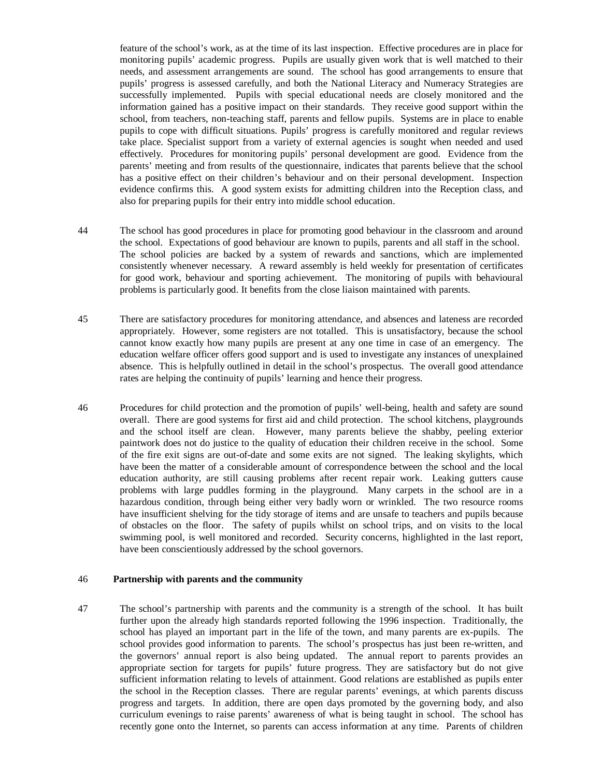feature of the school's work, as at the time of its last inspection. Effective procedures are in place for monitoring pupils' academic progress. Pupils are usually given work that is well matched to their needs, and assessment arrangements are sound. The school has good arrangements to ensure that pupils' progress is assessed carefully, and both the National Literacy and Numeracy Strategies are successfully implemented. Pupils with special educational needs are closely monitored and the information gained has a positive impact on their standards. They receive good support within the school, from teachers, non-teaching staff, parents and fellow pupils. Systems are in place to enable pupils to cope with difficult situations. Pupils' progress is carefully monitored and regular reviews take place. Specialist support from a variety of external agencies is sought when needed and used effectively. Procedures for monitoring pupils' personal development are good. Evidence from the parents' meeting and from results of the questionnaire, indicates that parents believe that the school has a positive effect on their children's behaviour and on their personal development. Inspection evidence confirms this. A good system exists for admitting children into the Reception class, and also for preparing pupils for their entry into middle school education.

- 44 The school has good procedures in place for promoting good behaviour in the classroom and around the school. Expectations of good behaviour are known to pupils, parents and all staff in the school. The school policies are backed by a system of rewards and sanctions, which are implemented consistently whenever necessary. A reward assembly is held weekly for presentation of certificates for good work, behaviour and sporting achievement. The monitoring of pupils with behavioural problems is particularly good. It benefits from the close liaison maintained with parents.
- 45 There are satisfactory procedures for monitoring attendance, and absences and lateness are recorded appropriately. However, some registers are not totalled. This is unsatisfactory, because the school cannot know exactly how many pupils are present at any one time in case of an emergency. The education welfare officer offers good support and is used to investigate any instances of unexplained absence. This is helpfully outlined in detail in the school's prospectus. The overall good attendance rates are helping the continuity of pupils' learning and hence their progress.
- 46 Procedures for child protection and the promotion of pupils' well-being, health and safety are sound overall. There are good systems for first aid and child protection. The school kitchens, playgrounds and the school itself are clean. However, many parents believe the shabby, peeling exterior paintwork does not do justice to the quality of education their children receive in the school. Some of the fire exit signs are out-of-date and some exits are not signed. The leaking skylights, which have been the matter of a considerable amount of correspondence between the school and the local education authority, are still causing problems after recent repair work. Leaking gutters cause problems with large puddles forming in the playground. Many carpets in the school are in a hazardous condition, through being either very badly worn or wrinkled. The two resource rooms have insufficient shelving for the tidy storage of items and are unsafe to teachers and pupils because of obstacles on the floor. The safety of pupils whilst on school trips, and on visits to the local swimming pool, is well monitored and recorded. Security concerns, highlighted in the last report, have been conscientiously addressed by the school governors.

#### 46 **Partnership with parents and the community**

47 The school's partnership with parents and the community is a strength of the school. It has built further upon the already high standards reported following the 1996 inspection. Traditionally, the school has played an important part in the life of the town, and many parents are ex-pupils. The school provides good information to parents. The school's prospectus has just been re-written, and the governors' annual report is also being updated. The annual report to parents provides an appropriate section for targets for pupils' future progress. They are satisfactory but do not give sufficient information relating to levels of attainment. Good relations are established as pupils enter the school in the Reception classes. There are regular parents' evenings, at which parents discuss progress and targets. In addition, there are open days promoted by the governing body, and also curriculum evenings to raise parents' awareness of what is being taught in school. The school has recently gone onto the Internet, so parents can access information at any time. Parents of children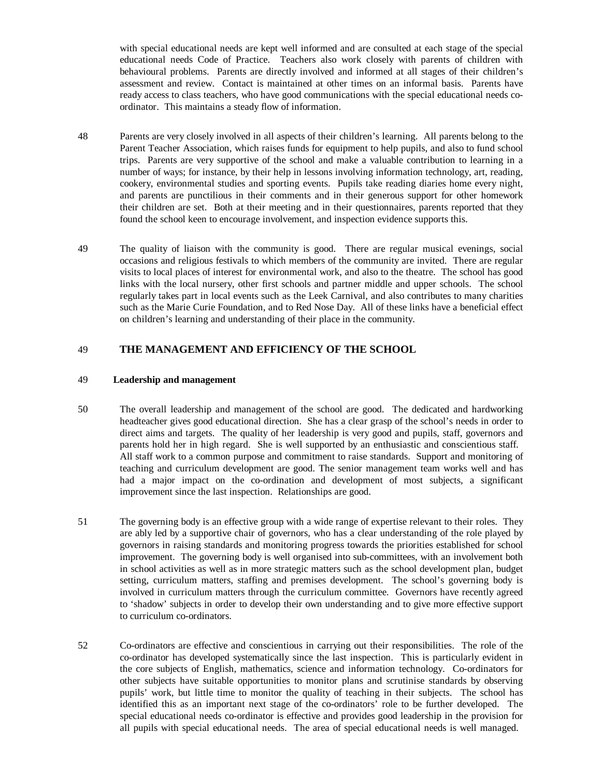with special educational needs are kept well informed and are consulted at each stage of the special educational needs Code of Practice. Teachers also work closely with parents of children with behavioural problems. Parents are directly involved and informed at all stages of their children's assessment and review. Contact is maintained at other times on an informal basis. Parents have ready access to class teachers, who have good communications with the special educational needs coordinator. This maintains a steady flow of information.

- 48 Parents are very closely involved in all aspects of their children's learning. All parents belong to the Parent Teacher Association, which raises funds for equipment to help pupils, and also to fund school trips. Parents are very supportive of the school and make a valuable contribution to learning in a number of ways; for instance, by their help in lessons involving information technology, art, reading, cookery, environmental studies and sporting events. Pupils take reading diaries home every night, and parents are punctilious in their comments and in their generous support for other homework their children are set. Both at their meeting and in their questionnaires, parents reported that they found the school keen to encourage involvement, and inspection evidence supports this.
- 49 The quality of liaison with the community is good. There are regular musical evenings, social occasions and religious festivals to which members of the community are invited. There are regular visits to local places of interest for environmental work, and also to the theatre. The school has good links with the local nursery, other first schools and partner middle and upper schools. The school regularly takes part in local events such as the Leek Carnival, and also contributes to many charities such as the Marie Curie Foundation, and to Red Nose Day. All of these links have a beneficial effect on children's learning and understanding of their place in the community.

## 49 **THE MANAGEMENT AND EFFICIENCY OF THE SCHOOL**

#### 49 **Leadership and management**

- 50 The overall leadership and management of the school are good. The dedicated and hardworking headteacher gives good educational direction. She has a clear grasp of the school's needs in order to direct aims and targets. The quality of her leadership is very good and pupils, staff, governors and parents hold her in high regard. She is well supported by an enthusiastic and conscientious staff. All staff work to a common purpose and commitment to raise standards. Support and monitoring of teaching and curriculum development are good. The senior management team works well and has had a major impact on the co-ordination and development of most subjects, a significant improvement since the last inspection. Relationships are good.
- 51 The governing body is an effective group with a wide range of expertise relevant to their roles. They are ably led by a supportive chair of governors, who has a clear understanding of the role played by governors in raising standards and monitoring progress towards the priorities established for school improvement. The governing body is well organised into sub-committees, with an involvement both in school activities as well as in more strategic matters such as the school development plan, budget setting, curriculum matters, staffing and premises development. The school's governing body is involved in curriculum matters through the curriculum committee. Governors have recently agreed to 'shadow' subjects in order to develop their own understanding and to give more effective support to curriculum co-ordinators.
- 52 Co-ordinators are effective and conscientious in carrying out their responsibilities. The role of the co-ordinator has developed systematically since the last inspection. This is particularly evident in the core subjects of English, mathematics, science and information technology. Co-ordinators for other subjects have suitable opportunities to monitor plans and scrutinise standards by observing pupils' work, but little time to monitor the quality of teaching in their subjects. The school has identified this as an important next stage of the co-ordinators' role to be further developed. The special educational needs co-ordinator is effective and provides good leadership in the provision for all pupils with special educational needs. The area of special educational needs is well managed.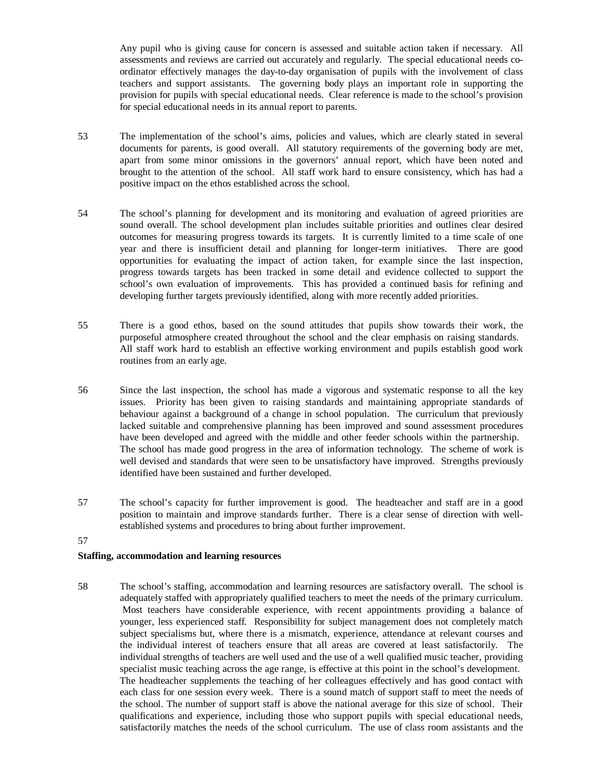Any pupil who is giving cause for concern is assessed and suitable action taken if necessary. All assessments and reviews are carried out accurately and regularly. The special educational needs coordinator effectively manages the day-to-day organisation of pupils with the involvement of class teachers and support assistants. The governing body plays an important role in supporting the provision for pupils with special educational needs. Clear reference is made to the school's provision for special educational needs in its annual report to parents.

- 53 The implementation of the school's aims, policies and values, which are clearly stated in several documents for parents, is good overall. All statutory requirements of the governing body are met, apart from some minor omissions in the governors' annual report, which have been noted and brought to the attention of the school. All staff work hard to ensure consistency, which has had a positive impact on the ethos established across the school.
- 54 The school's planning for development and its monitoring and evaluation of agreed priorities are sound overall. The school development plan includes suitable priorities and outlines clear desired outcomes for measuring progress towards its targets. It is currently limited to a time scale of one year and there is insufficient detail and planning for longer-term initiatives. There are good opportunities for evaluating the impact of action taken, for example since the last inspection, progress towards targets has been tracked in some detail and evidence collected to support the school's own evaluation of improvements. This has provided a continued basis for refining and developing further targets previously identified, along with more recently added priorities.
- 55 There is a good ethos, based on the sound attitudes that pupils show towards their work, the purposeful atmosphere created throughout the school and the clear emphasis on raising standards. All staff work hard to establish an effective working environment and pupils establish good work routines from an early age.
- 56 Since the last inspection, the school has made a vigorous and systematic response to all the key issues. Priority has been given to raising standards and maintaining appropriate standards of behaviour against a background of a change in school population. The curriculum that previously lacked suitable and comprehensive planning has been improved and sound assessment procedures have been developed and agreed with the middle and other feeder schools within the partnership. The school has made good progress in the area of information technology. The scheme of work is well devised and standards that were seen to be unsatisfactory have improved. Strengths previously identified have been sustained and further developed.
- 57 The school's capacity for further improvement is good. The headteacher and staff are in a good position to maintain and improve standards further. There is a clear sense of direction with wellestablished systems and procedures to bring about further improvement.
- 57

## **Staffing, accommodation and learning resources**

58 The school's staffing, accommodation and learning resources are satisfactory overall. The school is adequately staffed with appropriately qualified teachers to meet the needs of the primary curriculum. Most teachers have considerable experience, with recent appointments providing a balance of younger, less experienced staff. Responsibility for subject management does not completely match subject specialisms but, where there is a mismatch, experience, attendance at relevant courses and the individual interest of teachers ensure that all areas are covered at least satisfactorily. The individual strengths of teachers are well used and the use of a well qualified music teacher, providing specialist music teaching across the age range, is effective at this point in the school's development. The headteacher supplements the teaching of her colleagues effectively and has good contact with each class for one session every week. There is a sound match of support staff to meet the needs of the school. The number of support staff is above the national average for this size of school. Their qualifications and experience, including those who support pupils with special educational needs, satisfactorily matches the needs of the school curriculum. The use of class room assistants and the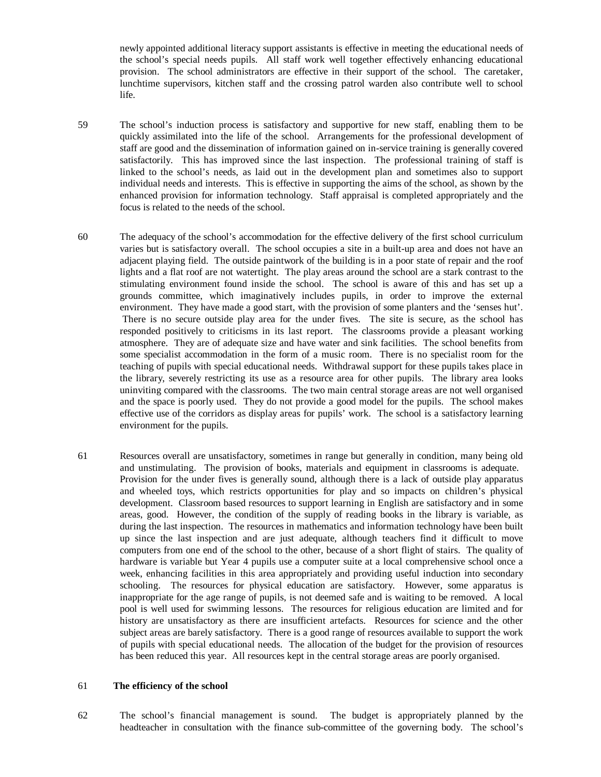newly appointed additional literacy support assistants is effective in meeting the educational needs of the school's special needs pupils. All staff work well together effectively enhancing educational provision. The school administrators are effective in their support of the school. The caretaker, lunchtime supervisors, kitchen staff and the crossing patrol warden also contribute well to school life.

59 The school's induction process is satisfactory and supportive for new staff, enabling them to be quickly assimilated into the life of the school. Arrangements for the professional development of staff are good and the dissemination of information gained on in-service training is generally covered satisfactorily. This has improved since the last inspection. The professional training of staff is linked to the school's needs, as laid out in the development plan and sometimes also to support individual needs and interests. This is effective in supporting the aims of the school, as shown by the enhanced provision for information technology. Staff appraisal is completed appropriately and the focus is related to the needs of the school.

- 60 The adequacy of the school's accommodation for the effective delivery of the first school curriculum varies but is satisfactory overall. The school occupies a site in a built-up area and does not have an adjacent playing field. The outside paintwork of the building is in a poor state of repair and the roof lights and a flat roof are not watertight. The play areas around the school are a stark contrast to the stimulating environment found inside the school. The school is aware of this and has set up a grounds committee, which imaginatively includes pupils, in order to improve the external environment. They have made a good start, with the provision of some planters and the 'senses hut'. There is no secure outside play area for the under fives. The site is secure, as the school has responded positively to criticisms in its last report. The classrooms provide a pleasant working atmosphere. They are of adequate size and have water and sink facilities. The school benefits from some specialist accommodation in the form of a music room. There is no specialist room for the teaching of pupils with special educational needs. Withdrawal support for these pupils takes place in the library, severely restricting its use as a resource area for other pupils. The library area looks uninviting compared with the classrooms. The two main central storage areas are not well organised and the space is poorly used. They do not provide a good model for the pupils. The school makes effective use of the corridors as display areas for pupils' work. The school is a satisfactory learning environment for the pupils.
- 61 Resources overall are unsatisfactory, sometimes in range but generally in condition, many being old and unstimulating. The provision of books, materials and equipment in classrooms is adequate. Provision for the under fives is generally sound, although there is a lack of outside play apparatus and wheeled toys, which restricts opportunities for play and so impacts on children's physical development. Classroom based resources to support learning in English are satisfactory and in some areas, good. However, the condition of the supply of reading books in the library is variable, as during the last inspection. The resources in mathematics and information technology have been built up since the last inspection and are just adequate, although teachers find it difficult to move computers from one end of the school to the other, because of a short flight of stairs. The quality of hardware is variable but Year 4 pupils use a computer suite at a local comprehensive school once a week, enhancing facilities in this area appropriately and providing useful induction into secondary schooling. The resources for physical education are satisfactory. However, some apparatus is inappropriate for the age range of pupils, is not deemed safe and is waiting to be removed. A local pool is well used for swimming lessons. The resources for religious education are limited and for history are unsatisfactory as there are insufficient artefacts. Resources for science and the other subject areas are barely satisfactory. There is a good range of resources available to support the work of pupils with special educational needs. The allocation of the budget for the provision of resources has been reduced this year. All resources kept in the central storage areas are poorly organised.

#### 61 **The efficiency of the school**

62 The school's financial management is sound. The budget is appropriately planned by the headteacher in consultation with the finance sub-committee of the governing body. The school's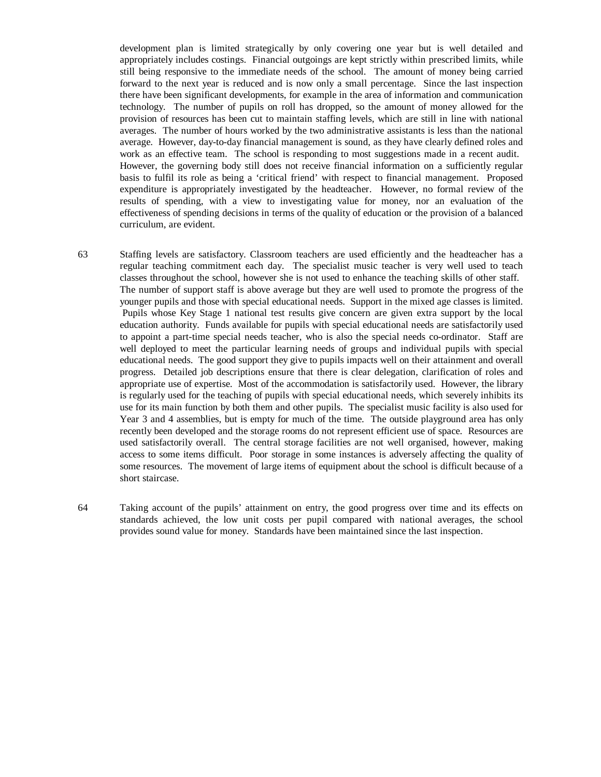development plan is limited strategically by only covering one year but is well detailed and appropriately includes costings. Financial outgoings are kept strictly within prescribed limits, while still being responsive to the immediate needs of the school. The amount of money being carried forward to the next year is reduced and is now only a small percentage. Since the last inspection there have been significant developments, for example in the area of information and communication technology. The number of pupils on roll has dropped, so the amount of money allowed for the provision of resources has been cut to maintain staffing levels, which are still in line with national averages. The number of hours worked by the two administrative assistants is less than the national average. However, day-to-day financial management is sound, as they have clearly defined roles and work as an effective team. The school is responding to most suggestions made in a recent audit. However, the governing body still does not receive financial information on a sufficiently regular basis to fulfil its role as being a 'critical friend' with respect to financial management. Proposed expenditure is appropriately investigated by the headteacher. However, no formal review of the results of spending, with a view to investigating value for money, nor an evaluation of the effectiveness of spending decisions in terms of the quality of education or the provision of a balanced curriculum, are evident.

63 Staffing levels are satisfactory. Classroom teachers are used efficiently and the headteacher has a regular teaching commitment each day. The specialist music teacher is very well used to teach classes throughout the school, however she is not used to enhance the teaching skills of other staff. The number of support staff is above average but they are well used to promote the progress of the younger pupils and those with special educational needs. Support in the mixed age classes is limited. Pupils whose Key Stage 1 national test results give concern are given extra support by the local education authority. Funds available for pupils with special educational needs are satisfactorily used to appoint a part-time special needs teacher, who is also the special needs co-ordinator. Staff are well deployed to meet the particular learning needs of groups and individual pupils with special educational needs. The good support they give to pupils impacts well on their attainment and overall progress. Detailed job descriptions ensure that there is clear delegation, clarification of roles and appropriate use of expertise. Most of the accommodation is satisfactorily used. However, the library is regularly used for the teaching of pupils with special educational needs, which severely inhibits its use for its main function by both them and other pupils. The specialist music facility is also used for Year 3 and 4 assemblies, but is empty for much of the time. The outside playground area has only recently been developed and the storage rooms do not represent efficient use of space. Resources are used satisfactorily overall. The central storage facilities are not well organised, however, making access to some items difficult. Poor storage in some instances is adversely affecting the quality of some resources. The movement of large items of equipment about the school is difficult because of a short staircase.

64 Taking account of the pupils' attainment on entry, the good progress over time and its effects on standards achieved, the low unit costs per pupil compared with national averages, the school provides sound value for money. Standards have been maintained since the last inspection.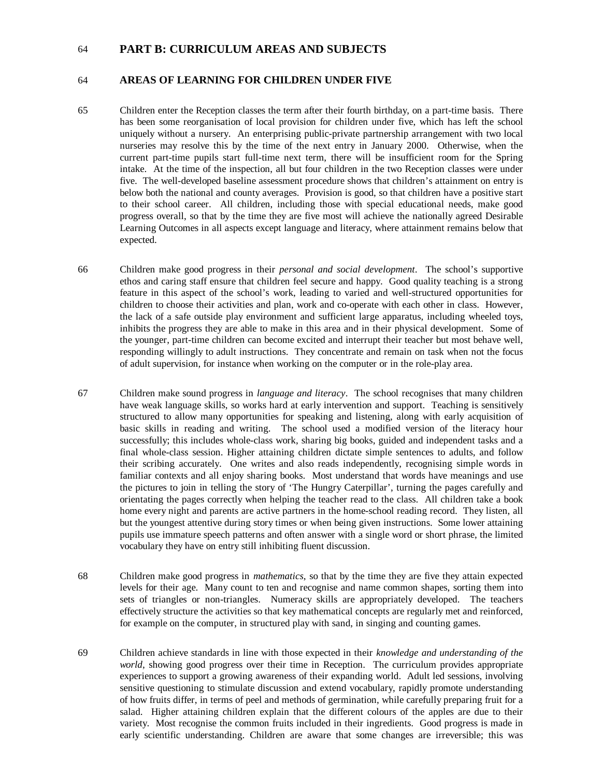## 64 **PART B: CURRICULUM AREAS AND SUBJECTS**

#### 64 **AREAS OF LEARNING FOR CHILDREN UNDER FIVE**

- 65 Children enter the Reception classes the term after their fourth birthday, on a part-time basis. There has been some reorganisation of local provision for children under five, which has left the school uniquely without a nursery. An enterprising public-private partnership arrangement with two local nurseries may resolve this by the time of the next entry in January 2000. Otherwise, when the current part-time pupils start full-time next term, there will be insufficient room for the Spring intake. At the time of the inspection, all but four children in the two Reception classes were under five. The well-developed baseline assessment procedure shows that children's attainment on entry is below both the national and county averages. Provision is good, so that children have a positive start to their school career. All children, including those with special educational needs, make good progress overall, so that by the time they are five most will achieve the nationally agreed Desirable Learning Outcomes in all aspects except language and literacy, where attainment remains below that expected.
- 66 Children make good progress in their *personal and social development*. The school's supportive ethos and caring staff ensure that children feel secure and happy. Good quality teaching is a strong feature in this aspect of the school's work, leading to varied and well-structured opportunities for children to choose their activities and plan, work and co-operate with each other in class. However, the lack of a safe outside play environment and sufficient large apparatus, including wheeled toys, inhibits the progress they are able to make in this area and in their physical development. Some of the younger, part-time children can become excited and interrupt their teacher but most behave well, responding willingly to adult instructions. They concentrate and remain on task when not the focus of adult supervision, for instance when working on the computer or in the role-play area.
- 67 Children make sound progress in *language and literacy*. The school recognises that many children have weak language skills, so works hard at early intervention and support. Teaching is sensitively structured to allow many opportunities for speaking and listening, along with early acquisition of basic skills in reading and writing. The school used a modified version of the literacy hour successfully; this includes whole-class work, sharing big books, guided and independent tasks and a final whole-class session. Higher attaining children dictate simple sentences to adults, and follow their scribing accurately. One writes and also reads independently, recognising simple words in familiar contexts and all enjoy sharing books. Most understand that words have meanings and use the pictures to join in telling the story of 'The Hungry Caterpillar', turning the pages carefully and orientating the pages correctly when helping the teacher read to the class. All children take a book home every night and parents are active partners in the home-school reading record. They listen, all but the youngest attentive during story times or when being given instructions. Some lower attaining pupils use immature speech patterns and often answer with a single word or short phrase, the limited vocabulary they have on entry still inhibiting fluent discussion.
- 68 Children make good progress in *mathematics*, so that by the time they are five they attain expected levels for their age. Many count to ten and recognise and name common shapes, sorting them into sets of triangles or non-triangles. Numeracy skills are appropriately developed. The teachers effectively structure the activities so that key mathematical concepts are regularly met and reinforced, for example on the computer, in structured play with sand, in singing and counting games.
- 69 Children achieve standards in line with those expected in their *knowledge and understanding of the world*, showing good progress over their time in Reception. The curriculum provides appropriate experiences to support a growing awareness of their expanding world. Adult led sessions, involving sensitive questioning to stimulate discussion and extend vocabulary, rapidly promote understanding of how fruits differ, in terms of peel and methods of germination, while carefully preparing fruit for a salad. Higher attaining children explain that the different colours of the apples are due to their variety. Most recognise the common fruits included in their ingredients. Good progress is made in early scientific understanding. Children are aware that some changes are irreversible; this was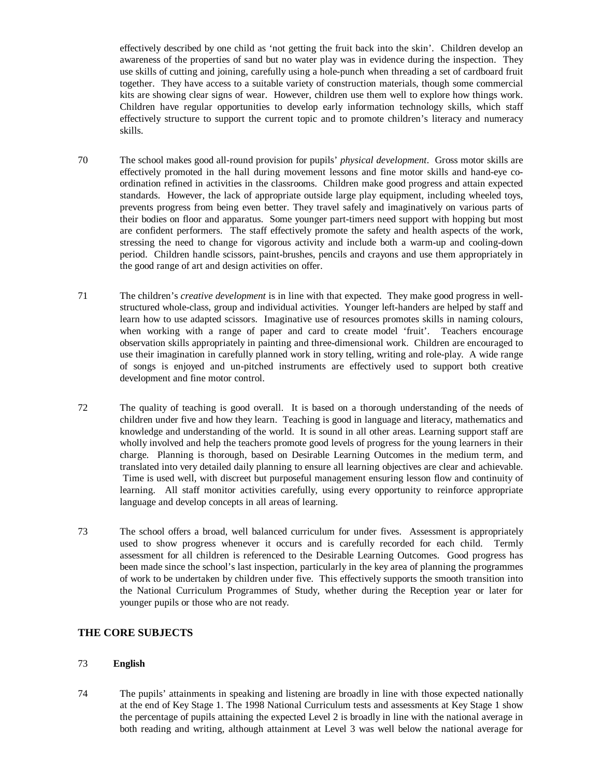effectively described by one child as 'not getting the fruit back into the skin'. Children develop an awareness of the properties of sand but no water play was in evidence during the inspection. They use skills of cutting and joining, carefully using a hole-punch when threading a set of cardboard fruit together. They have access to a suitable variety of construction materials, though some commercial kits are showing clear signs of wear. However, children use them well to explore how things work. Children have regular opportunities to develop early information technology skills, which staff effectively structure to support the current topic and to promote children's literacy and numeracy skills.

- 70 The school makes good all-round provision for pupils' *physical development*. Gross motor skills are effectively promoted in the hall during movement lessons and fine motor skills and hand-eye coordination refined in activities in the classrooms. Children make good progress and attain expected standards. However, the lack of appropriate outside large play equipment, including wheeled toys, prevents progress from being even better. They travel safely and imaginatively on various parts of their bodies on floor and apparatus. Some younger part-timers need support with hopping but most are confident performers. The staff effectively promote the safety and health aspects of the work, stressing the need to change for vigorous activity and include both a warm-up and cooling-down period. Children handle scissors, paint-brushes, pencils and crayons and use them appropriately in the good range of art and design activities on offer.
- 71 The children's *creative development* is in line with that expected. They make good progress in wellstructured whole-class, group and individual activities. Younger left-handers are helped by staff and learn how to use adapted scissors. Imaginative use of resources promotes skills in naming colours, when working with a range of paper and card to create model 'fruit'. Teachers encourage observation skills appropriately in painting and three-dimensional work. Children are encouraged to use their imagination in carefully planned work in story telling, writing and role-play. A wide range of songs is enjoyed and un-pitched instruments are effectively used to support both creative development and fine motor control.
- 72 The quality of teaching is good overall. It is based on a thorough understanding of the needs of children under five and how they learn. Teaching is good in language and literacy, mathematics and knowledge and understanding of the world. It is sound in all other areas. Learning support staff are wholly involved and help the teachers promote good levels of progress for the young learners in their charge. Planning is thorough, based on Desirable Learning Outcomes in the medium term, and translated into very detailed daily planning to ensure all learning objectives are clear and achievable. Time is used well, with discreet but purposeful management ensuring lesson flow and continuity of learning. All staff monitor activities carefully, using every opportunity to reinforce appropriate language and develop concepts in all areas of learning.
- 73 The school offers a broad, well balanced curriculum for under fives. Assessment is appropriately used to show progress whenever it occurs and is carefully recorded for each child. Termly assessment for all children is referenced to the Desirable Learning Outcomes. Good progress has been made since the school's last inspection, particularly in the key area of planning the programmes of work to be undertaken by children under five. This effectively supports the smooth transition into the National Curriculum Programmes of Study, whether during the Reception year or later for younger pupils or those who are not ready.

## **THE CORE SUBJECTS**

## 73 **English**

74 The pupils' attainments in speaking and listening are broadly in line with those expected nationally at the end of Key Stage 1. The 1998 National Curriculum tests and assessments at Key Stage 1 show the percentage of pupils attaining the expected Level 2 is broadly in line with the national average in both reading and writing, although attainment at Level 3 was well below the national average for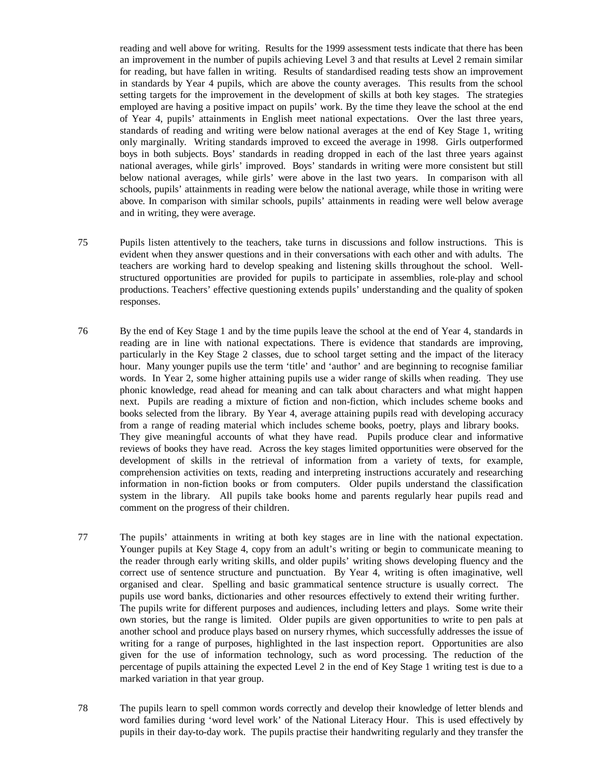reading and well above for writing. Results for the 1999 assessment tests indicate that there has been an improvement in the number of pupils achieving Level 3 and that results at Level 2 remain similar for reading, but have fallen in writing. Results of standardised reading tests show an improvement in standards by Year 4 pupils, which are above the county averages. This results from the school setting targets for the improvement in the development of skills at both key stages. The strategies employed are having a positive impact on pupils' work. By the time they leave the school at the end of Year 4, pupils' attainments in English meet national expectations. Over the last three years, standards of reading and writing were below national averages at the end of Key Stage 1, writing only marginally. Writing standards improved to exceed the average in 1998. Girls outperformed boys in both subjects. Boys' standards in reading dropped in each of the last three years against national averages, while girls' improved. Boys' standards in writing were more consistent but still below national averages, while girls' were above in the last two years. In comparison with all schools, pupils' attainments in reading were below the national average, while those in writing were above. In comparison with similar schools, pupils' attainments in reading were well below average and in writing, they were average.

- 75 Pupils listen attentively to the teachers, take turns in discussions and follow instructions. This is evident when they answer questions and in their conversations with each other and with adults. The teachers are working hard to develop speaking and listening skills throughout the school. Wellstructured opportunities are provided for pupils to participate in assemblies, role-play and school productions. Teachers' effective questioning extends pupils' understanding and the quality of spoken responses.
- 76 By the end of Key Stage 1 and by the time pupils leave the school at the end of Year 4, standards in reading are in line with national expectations. There is evidence that standards are improving, particularly in the Key Stage 2 classes, due to school target setting and the impact of the literacy hour. Many younger pupils use the term 'title' and 'author' and are beginning to recognise familiar words. In Year 2, some higher attaining pupils use a wider range of skills when reading. They use phonic knowledge, read ahead for meaning and can talk about characters and what might happen next. Pupils are reading a mixture of fiction and non-fiction, which includes scheme books and books selected from the library. By Year 4, average attaining pupils read with developing accuracy from a range of reading material which includes scheme books, poetry, plays and library books. They give meaningful accounts of what they have read. Pupils produce clear and informative reviews of books they have read. Across the key stages limited opportunities were observed for the development of skills in the retrieval of information from a variety of texts, for example, comprehension activities on texts, reading and interpreting instructions accurately and researching information in non-fiction books or from computers. Older pupils understand the classification system in the library. All pupils take books home and parents regularly hear pupils read and comment on the progress of their children.
- 77 The pupils' attainments in writing at both key stages are in line with the national expectation. Younger pupils at Key Stage 4, copy from an adult's writing or begin to communicate meaning to the reader through early writing skills, and older pupils' writing shows developing fluency and the correct use of sentence structure and punctuation. By Year 4, writing is often imaginative, well organised and clear. Spelling and basic grammatical sentence structure is usually correct. The pupils use word banks, dictionaries and other resources effectively to extend their writing further. The pupils write for different purposes and audiences, including letters and plays. Some write their own stories, but the range is limited. Older pupils are given opportunities to write to pen pals at another school and produce plays based on nursery rhymes, which successfully addresses the issue of writing for a range of purposes, highlighted in the last inspection report. Opportunities are also given for the use of information technology, such as word processing. The reduction of the percentage of pupils attaining the expected Level 2 in the end of Key Stage 1 writing test is due to a marked variation in that year group.
- 78 The pupils learn to spell common words correctly and develop their knowledge of letter blends and word families during 'word level work' of the National Literacy Hour. This is used effectively by pupils in their day-to-day work. The pupils practise their handwriting regularly and they transfer the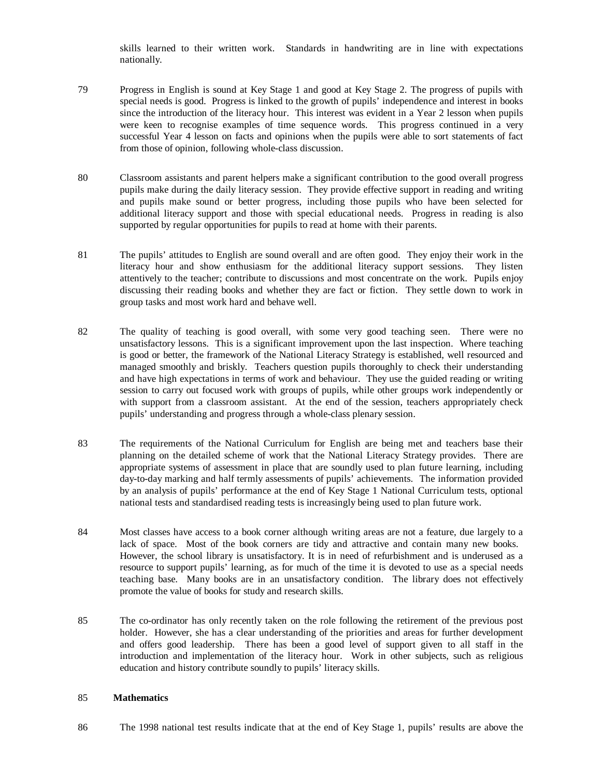skills learned to their written work. Standards in handwriting are in line with expectations nationally.

- 79 Progress in English is sound at Key Stage 1 and good at Key Stage 2. The progress of pupils with special needs is good. Progress is linked to the growth of pupils' independence and interest in books since the introduction of the literacy hour. This interest was evident in a Year 2 lesson when pupils were keen to recognise examples of time sequence words. This progress continued in a very successful Year 4 lesson on facts and opinions when the pupils were able to sort statements of fact from those of opinion, following whole-class discussion.
- 80 Classroom assistants and parent helpers make a significant contribution to the good overall progress pupils make during the daily literacy session. They provide effective support in reading and writing and pupils make sound or better progress, including those pupils who have been selected for additional literacy support and those with special educational needs. Progress in reading is also supported by regular opportunities for pupils to read at home with their parents.
- 81 The pupils' attitudes to English are sound overall and are often good. They enjoy their work in the literacy hour and show enthusiasm for the additional literacy support sessions. They listen attentively to the teacher; contribute to discussions and most concentrate on the work. Pupils enjoy discussing their reading books and whether they are fact or fiction. They settle down to work in group tasks and most work hard and behave well.
- 82 The quality of teaching is good overall, with some very good teaching seen. There were no unsatisfactory lessons. This is a significant improvement upon the last inspection. Where teaching is good or better, the framework of the National Literacy Strategy is established, well resourced and managed smoothly and briskly. Teachers question pupils thoroughly to check their understanding and have high expectations in terms of work and behaviour. They use the guided reading or writing session to carry out focused work with groups of pupils, while other groups work independently or with support from a classroom assistant. At the end of the session, teachers appropriately check pupils' understanding and progress through a whole-class plenary session.
- 83 The requirements of the National Curriculum for English are being met and teachers base their planning on the detailed scheme of work that the National Literacy Strategy provides. There are appropriate systems of assessment in place that are soundly used to plan future learning, including day-to-day marking and half termly assessments of pupils' achievements. The information provided by an analysis of pupils' performance at the end of Key Stage 1 National Curriculum tests, optional national tests and standardised reading tests is increasingly being used to plan future work.
- 84 Most classes have access to a book corner although writing areas are not a feature, due largely to a lack of space. Most of the book corners are tidy and attractive and contain many new books. However, the school library is unsatisfactory. It is in need of refurbishment and is underused as a resource to support pupils' learning, as for much of the time it is devoted to use as a special needs teaching base. Many books are in an unsatisfactory condition. The library does not effectively promote the value of books for study and research skills.
- 85 The co-ordinator has only recently taken on the role following the retirement of the previous post holder. However, she has a clear understanding of the priorities and areas for further development and offers good leadership. There has been a good level of support given to all staff in the introduction and implementation of the literacy hour. Work in other subjects, such as religious education and history contribute soundly to pupils' literacy skills.

## 85 **Mathematics**

86 The 1998 national test results indicate that at the end of Key Stage 1, pupils' results are above the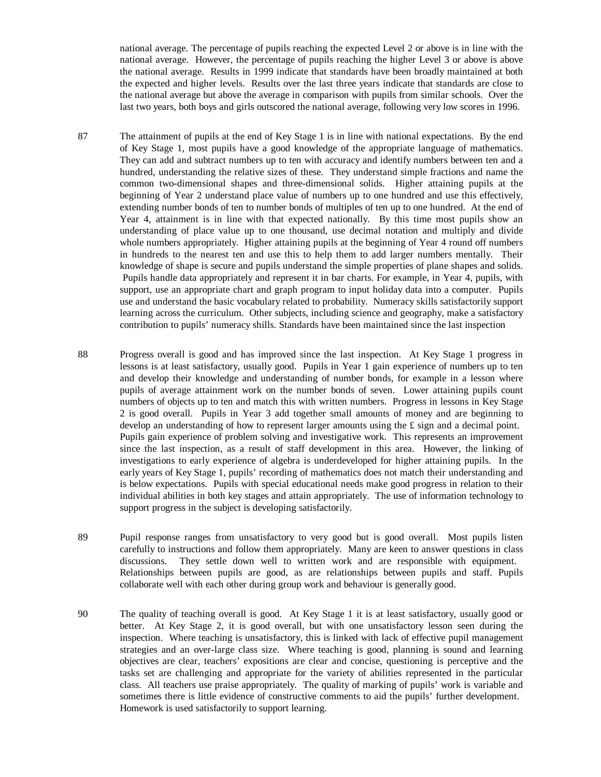national average. The percentage of pupils reaching the expected Level 2 or above is in line with the national average. However, the percentage of pupils reaching the higher Level 3 or above is above the national average. Results in 1999 indicate that standards have been broadly maintained at both the expected and higher levels. Results over the last three years indicate that standards are close to the national average but above the average in comparison with pupils from similar schools. Over the last two years, both boys and girls outscored the national average, following very low scores in 1996.

- 87 The attainment of pupils at the end of Key Stage 1 is in line with national expectations. By the end of Key Stage 1, most pupils have a good knowledge of the appropriate language of mathematics. They can add and subtract numbers up to ten with accuracy and identify numbers between ten and a hundred, understanding the relative sizes of these. They understand simple fractions and name the common two-dimensional shapes and three-dimensional solids. Higher attaining pupils at the beginning of Year 2 understand place value of numbers up to one hundred and use this effectively, extending number bonds of ten to number bonds of multiples of ten up to one hundred. At the end of Year 4, attainment is in line with that expected nationally. By this time most pupils show an understanding of place value up to one thousand, use decimal notation and multiply and divide whole numbers appropriately. Higher attaining pupils at the beginning of Year 4 round off numbers in hundreds to the nearest ten and use this to help them to add larger numbers mentally. Their knowledge of shape is secure and pupils understand the simple properties of plane shapes and solids. Pupils handle data appropriately and represent it in bar charts. For example, in Year 4, pupils, with support, use an appropriate chart and graph program to input holiday data into a computer. Pupils use and understand the basic vocabulary related to probability. Numeracy skills satisfactorily support learning across the curriculum. Other subjects, including science and geography, make a satisfactory contribution to pupils' numeracy shills. Standards have been maintained since the last inspection
- 88 Progress overall is good and has improved since the last inspection. At Key Stage 1 progress in lessons is at least satisfactory, usually good. Pupils in Year 1 gain experience of numbers up to ten and develop their knowledge and understanding of number bonds, for example in a lesson where pupils of average attainment work on the number bonds of seven. Lower attaining pupils count numbers of objects up to ten and match this with written numbers. Progress in lessons in Key Stage 2 is good overall. Pupils in Year 3 add together small amounts of money and are beginning to develop an understanding of how to represent larger amounts using the  $\pounds$  sign and a decimal point. Pupils gain experience of problem solving and investigative work. This represents an improvement since the last inspection, as a result of staff development in this area. However, the linking of investigations to early experience of algebra is underdeveloped for higher attaining pupils. In the early years of Key Stage 1, pupils' recording of mathematics does not match their understanding and is below expectations. Pupils with special educational needs make good progress in relation to their individual abilities in both key stages and attain appropriately. The use of information technology to support progress in the subject is developing satisfactorily.
- 89 Pupil response ranges from unsatisfactory to very good but is good overall. Most pupils listen carefully to instructions and follow them appropriately. Many are keen to answer questions in class discussions. They settle down well to written work and are responsible with equipment. Relationships between pupils are good, as are relationships between pupils and staff. Pupils collaborate well with each other during group work and behaviour is generally good.
- 90 The quality of teaching overall is good. At Key Stage 1 it is at least satisfactory, usually good or better. At Key Stage 2, it is good overall, but with one unsatisfactory lesson seen during the inspection. Where teaching is unsatisfactory, this is linked with lack of effective pupil management strategies and an over-large class size. Where teaching is good, planning is sound and learning objectives are clear, teachers' expositions are clear and concise, questioning is perceptive and the tasks set are challenging and appropriate for the variety of abilities represented in the particular class. All teachers use praise appropriately. The quality of marking of pupils' work is variable and sometimes there is little evidence of constructive comments to aid the pupils' further development. Homework is used satisfactorily to support learning.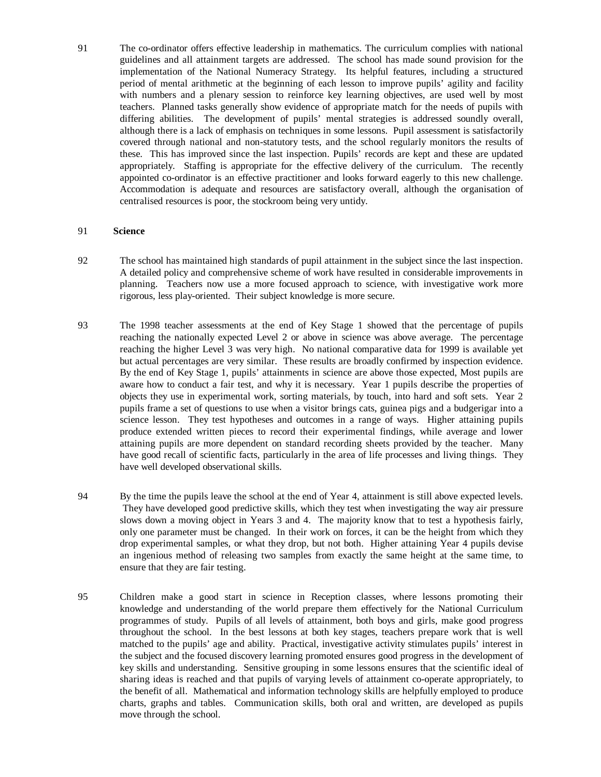91 The co-ordinator offers effective leadership in mathematics. The curriculum complies with national guidelines and all attainment targets are addressed. The school has made sound provision for the implementation of the National Numeracy Strategy. Its helpful features, including a structured period of mental arithmetic at the beginning of each lesson to improve pupils' agility and facility with numbers and a plenary session to reinforce key learning objectives, are used well by most teachers. Planned tasks generally show evidence of appropriate match for the needs of pupils with differing abilities. The development of pupils' mental strategies is addressed soundly overall, although there is a lack of emphasis on techniques in some lessons. Pupil assessment is satisfactorily covered through national and non-statutory tests, and the school regularly monitors the results of these. This has improved since the last inspection. Pupils' records are kept and these are updated appropriately. Staffing is appropriate for the effective delivery of the curriculum. The recently appointed co-ordinator is an effective practitioner and looks forward eagerly to this new challenge. Accommodation is adequate and resources are satisfactory overall, although the organisation of centralised resources is poor, the stockroom being very untidy.

#### 91 **Science**

- 92 The school has maintained high standards of pupil attainment in the subject since the last inspection. A detailed policy and comprehensive scheme of work have resulted in considerable improvements in planning. Teachers now use a more focused approach to science, with investigative work more rigorous, less play-oriented. Their subject knowledge is more secure.
- 93 The 1998 teacher assessments at the end of Key Stage 1 showed that the percentage of pupils reaching the nationally expected Level 2 or above in science was above average. The percentage reaching the higher Level 3 was very high. No national comparative data for 1999 is available yet but actual percentages are very similar. These results are broadly confirmed by inspection evidence. By the end of Key Stage 1, pupils' attainments in science are above those expected, Most pupils are aware how to conduct a fair test, and why it is necessary. Year 1 pupils describe the properties of objects they use in experimental work, sorting materials, by touch, into hard and soft sets. Year 2 pupils frame a set of questions to use when a visitor brings cats, guinea pigs and a budgerigar into a science lesson. They test hypotheses and outcomes in a range of ways. Higher attaining pupils produce extended written pieces to record their experimental findings, while average and lower attaining pupils are more dependent on standard recording sheets provided by the teacher. Many have good recall of scientific facts, particularly in the area of life processes and living things. They have well developed observational skills.
- 94 By the time the pupils leave the school at the end of Year 4, attainment is still above expected levels. They have developed good predictive skills, which they test when investigating the way air pressure slows down a moving object in Years 3 and 4. The majority know that to test a hypothesis fairly, only one parameter must be changed. In their work on forces, it can be the height from which they drop experimental samples, or what they drop, but not both. Higher attaining Year 4 pupils devise an ingenious method of releasing two samples from exactly the same height at the same time, to ensure that they are fair testing.
- 95 Children make a good start in science in Reception classes, where lessons promoting their knowledge and understanding of the world prepare them effectively for the National Curriculum programmes of study. Pupils of all levels of attainment, both boys and girls, make good progress throughout the school. In the best lessons at both key stages, teachers prepare work that is well matched to the pupils' age and ability. Practical, investigative activity stimulates pupils' interest in the subject and the focused discovery learning promoted ensures good progress in the development of key skills and understanding. Sensitive grouping in some lessons ensures that the scientific ideal of sharing ideas is reached and that pupils of varying levels of attainment co-operate appropriately, to the benefit of all. Mathematical and information technology skills are helpfully employed to produce charts, graphs and tables. Communication skills, both oral and written, are developed as pupils move through the school.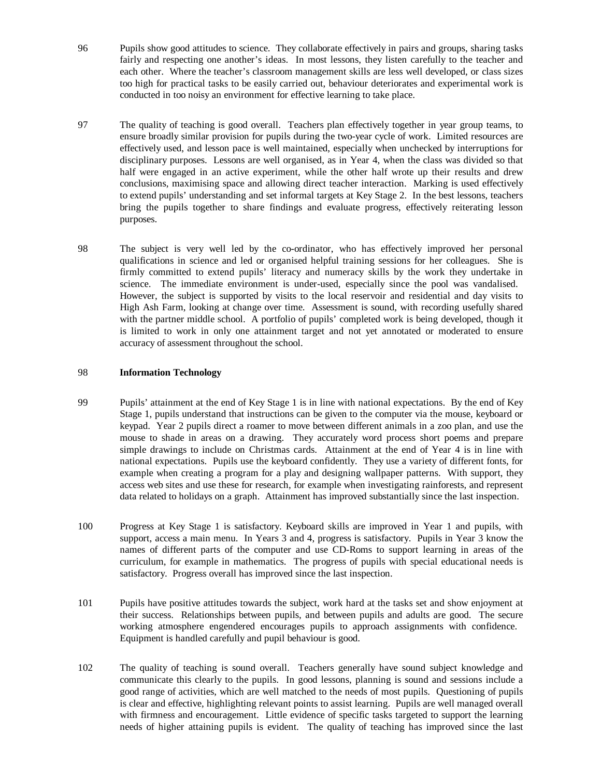- 96 Pupils show good attitudes to science. They collaborate effectively in pairs and groups, sharing tasks fairly and respecting one another's ideas. In most lessons, they listen carefully to the teacher and each other. Where the teacher's classroom management skills are less well developed, or class sizes too high for practical tasks to be easily carried out, behaviour deteriorates and experimental work is conducted in too noisy an environment for effective learning to take place.
- 97 The quality of teaching is good overall. Teachers plan effectively together in year group teams, to ensure broadly similar provision for pupils during the two-year cycle of work. Limited resources are effectively used, and lesson pace is well maintained, especially when unchecked by interruptions for disciplinary purposes. Lessons are well organised, as in Year 4, when the class was divided so that half were engaged in an active experiment, while the other half wrote up their results and drew conclusions, maximising space and allowing direct teacher interaction. Marking is used effectively to extend pupils' understanding and set informal targets at Key Stage 2. In the best lessons, teachers bring the pupils together to share findings and evaluate progress, effectively reiterating lesson purposes.
- 98 The subject is very well led by the co-ordinator, who has effectively improved her personal qualifications in science and led or organised helpful training sessions for her colleagues. She is firmly committed to extend pupils' literacy and numeracy skills by the work they undertake in science. The immediate environment is under-used, especially since the pool was vandalised. However, the subject is supported by visits to the local reservoir and residential and day visits to High Ash Farm, looking at change over time. Assessment is sound, with recording usefully shared with the partner middle school. A portfolio of pupils' completed work is being developed, though it is limited to work in only one attainment target and not yet annotated or moderated to ensure accuracy of assessment throughout the school.

#### 98 **Information Technology**

- 99 Pupils' attainment at the end of Key Stage 1 is in line with national expectations. By the end of Key Stage 1, pupils understand that instructions can be given to the computer via the mouse, keyboard or keypad. Year 2 pupils direct a roamer to move between different animals in a zoo plan, and use the mouse to shade in areas on a drawing. They accurately word process short poems and prepare simple drawings to include on Christmas cards. Attainment at the end of Year 4 is in line with national expectations. Pupils use the keyboard confidently. They use a variety of different fonts, for example when creating a program for a play and designing wallpaper patterns. With support, they access web sites and use these for research, for example when investigating rainforests, and represent data related to holidays on a graph. Attainment has improved substantially since the last inspection.
- 100 Progress at Key Stage 1 is satisfactory. Keyboard skills are improved in Year 1 and pupils, with support, access a main menu. In Years 3 and 4, progress is satisfactory. Pupils in Year 3 know the names of different parts of the computer and use CD-Roms to support learning in areas of the curriculum, for example in mathematics. The progress of pupils with special educational needs is satisfactory. Progress overall has improved since the last inspection.
- 101 Pupils have positive attitudes towards the subject, work hard at the tasks set and show enjoyment at their success. Relationships between pupils, and between pupils and adults are good. The secure working atmosphere engendered encourages pupils to approach assignments with confidence. Equipment is handled carefully and pupil behaviour is good.
- 102 The quality of teaching is sound overall. Teachers generally have sound subject knowledge and communicate this clearly to the pupils. In good lessons, planning is sound and sessions include a good range of activities, which are well matched to the needs of most pupils. Questioning of pupils is clear and effective, highlighting relevant points to assist learning. Pupils are well managed overall with firmness and encouragement. Little evidence of specific tasks targeted to support the learning needs of higher attaining pupils is evident. The quality of teaching has improved since the last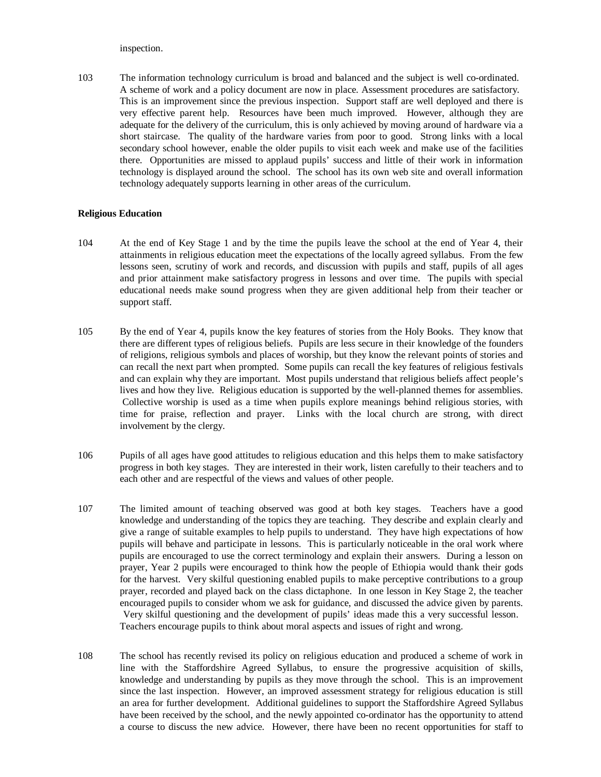inspection.

103 The information technology curriculum is broad and balanced and the subject is well co-ordinated. A scheme of work and a policy document are now in place. Assessment procedures are satisfactory. This is an improvement since the previous inspection. Support staff are well deployed and there is very effective parent help. Resources have been much improved. However, although they are adequate for the delivery of the curriculum, this is only achieved by moving around of hardware via a short staircase. The quality of the hardware varies from poor to good. Strong links with a local secondary school however, enable the older pupils to visit each week and make use of the facilities there. Opportunities are missed to applaud pupils' success and little of their work in information technology is displayed around the school. The school has its own web site and overall information technology adequately supports learning in other areas of the curriculum.

#### **Religious Education**

- 104 At the end of Key Stage 1 and by the time the pupils leave the school at the end of Year 4, their attainments in religious education meet the expectations of the locally agreed syllabus. From the few lessons seen, scrutiny of work and records, and discussion with pupils and staff, pupils of all ages and prior attainment make satisfactory progress in lessons and over time. The pupils with special educational needs make sound progress when they are given additional help from their teacher or support staff.
- 105 By the end of Year 4, pupils know the key features of stories from the Holy Books. They know that there are different types of religious beliefs. Pupils are less secure in their knowledge of the founders of religions, religious symbols and places of worship, but they know the relevant points of stories and can recall the next part when prompted. Some pupils can recall the key features of religious festivals and can explain why they are important. Most pupils understand that religious beliefs affect people's lives and how they live. Religious education is supported by the well-planned themes for assemblies. Collective worship is used as a time when pupils explore meanings behind religious stories, with time for praise, reflection and prayer. Links with the local church are strong, with direct involvement by the clergy.
- 106 Pupils of all ages have good attitudes to religious education and this helps them to make satisfactory progress in both key stages. They are interested in their work, listen carefully to their teachers and to each other and are respectful of the views and values of other people.
- 107 The limited amount of teaching observed was good at both key stages. Teachers have a good knowledge and understanding of the topics they are teaching. They describe and explain clearly and give a range of suitable examples to help pupils to understand. They have high expectations of how pupils will behave and participate in lessons. This is particularly noticeable in the oral work where pupils are encouraged to use the correct terminology and explain their answers. During a lesson on prayer, Year 2 pupils were encouraged to think how the people of Ethiopia would thank their gods for the harvest. Very skilful questioning enabled pupils to make perceptive contributions to a group prayer, recorded and played back on the class dictaphone. In one lesson in Key Stage 2, the teacher encouraged pupils to consider whom we ask for guidance, and discussed the advice given by parents. Very skilful questioning and the development of pupils' ideas made this a very successful lesson. Teachers encourage pupils to think about moral aspects and issues of right and wrong.
- 108 The school has recently revised its policy on religious education and produced a scheme of work in line with the Staffordshire Agreed Syllabus, to ensure the progressive acquisition of skills, knowledge and understanding by pupils as they move through the school. This is an improvement since the last inspection. However, an improved assessment strategy for religious education is still an area for further development. Additional guidelines to support the Staffordshire Agreed Syllabus have been received by the school, and the newly appointed co-ordinator has the opportunity to attend a course to discuss the new advice. However, there have been no recent opportunities for staff to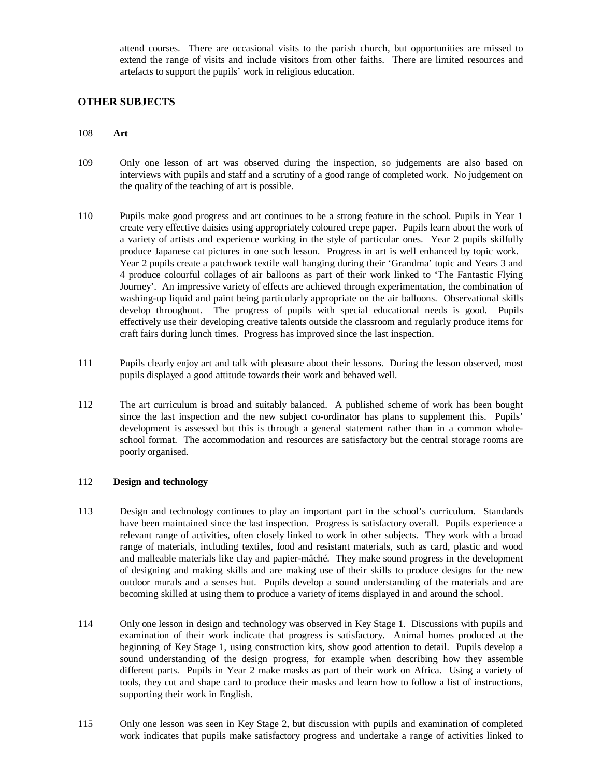attend courses. There are occasional visits to the parish church, but opportunities are missed to extend the range of visits and include visitors from other faiths. There are limited resources and artefacts to support the pupils' work in religious education.

## **OTHER SUBJECTS**

## 108 **Art**

- 109 Only one lesson of art was observed during the inspection, so judgements are also based on interviews with pupils and staff and a scrutiny of a good range of completed work. No judgement on the quality of the teaching of art is possible.
- 110 Pupils make good progress and art continues to be a strong feature in the school. Pupils in Year 1 create very effective daisies using appropriately coloured crepe paper. Pupils learn about the work of a variety of artists and experience working in the style of particular ones. Year 2 pupils skilfully produce Japanese cat pictures in one such lesson. Progress in art is well enhanced by topic work. Year 2 pupils create a patchwork textile wall hanging during their 'Grandma' topic and Years 3 and 4 produce colourful collages of air balloons as part of their work linked to 'The Fantastic Flying Journey'. An impressive variety of effects are achieved through experimentation, the combination of washing-up liquid and paint being particularly appropriate on the air balloons. Observational skills develop throughout. The progress of pupils with special educational needs is good. Pupils effectively use their developing creative talents outside the classroom and regularly produce items for craft fairs during lunch times. Progress has improved since the last inspection.
- 111 Pupils clearly enjoy art and talk with pleasure about their lessons. During the lesson observed, most pupils displayed a good attitude towards their work and behaved well.
- 112 The art curriculum is broad and suitably balanced. A published scheme of work has been bought since the last inspection and the new subject co-ordinator has plans to supplement this. Pupils' development is assessed but this is through a general statement rather than in a common wholeschool format. The accommodation and resources are satisfactory but the central storage rooms are poorly organised.

#### 112 **Design and technology**

- 113 Design and technology continues to play an important part in the school's curriculum. Standards have been maintained since the last inspection. Progress is satisfactory overall. Pupils experience a relevant range of activities, often closely linked to work in other subjects. They work with a broad range of materials, including textiles, food and resistant materials, such as card, plastic and wood and malleable materials like clay and papier-mâché. They make sound progress in the development of designing and making skills and are making use of their skills to produce designs for the new outdoor murals and a senses hut. Pupils develop a sound understanding of the materials and are becoming skilled at using them to produce a variety of items displayed in and around the school.
- 114 Only one lesson in design and technology was observed in Key Stage 1. Discussions with pupils and examination of their work indicate that progress is satisfactory. Animal homes produced at the beginning of Key Stage 1, using construction kits, show good attention to detail. Pupils develop a sound understanding of the design progress, for example when describing how they assemble different parts. Pupils in Year 2 make masks as part of their work on Africa. Using a variety of tools, they cut and shape card to produce their masks and learn how to follow a list of instructions, supporting their work in English.
- 115 Only one lesson was seen in Key Stage 2, but discussion with pupils and examination of completed work indicates that pupils make satisfactory progress and undertake a range of activities linked to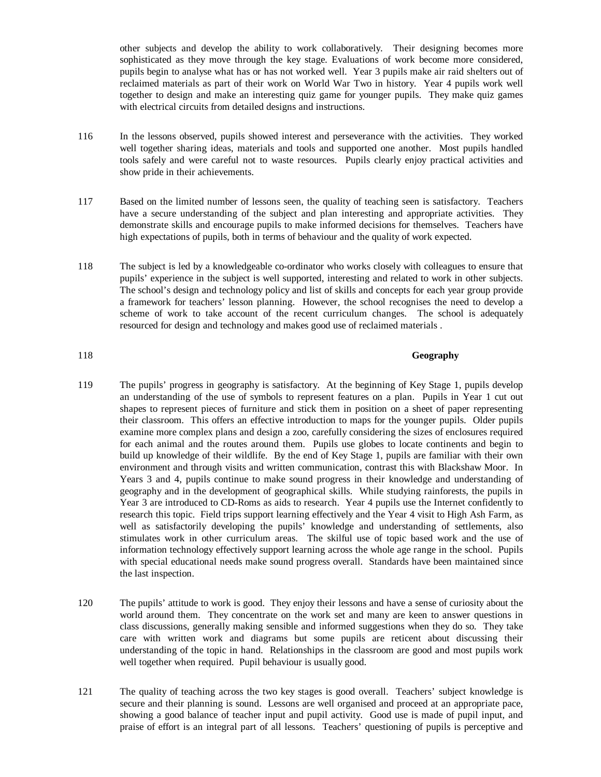other subjects and develop the ability to work collaboratively. Their designing becomes more sophisticated as they move through the key stage. Evaluations of work become more considered, pupils begin to analyse what has or has not worked well. Year 3 pupils make air raid shelters out of reclaimed materials as part of their work on World War Two in history. Year 4 pupils work well together to design and make an interesting quiz game for younger pupils. They make quiz games with electrical circuits from detailed designs and instructions.

- 116 In the lessons observed, pupils showed interest and perseverance with the activities. They worked well together sharing ideas, materials and tools and supported one another. Most pupils handled tools safely and were careful not to waste resources. Pupils clearly enjoy practical activities and show pride in their achievements.
- 117 Based on the limited number of lessons seen, the quality of teaching seen is satisfactory. Teachers have a secure understanding of the subject and plan interesting and appropriate activities. They demonstrate skills and encourage pupils to make informed decisions for themselves. Teachers have high expectations of pupils, both in terms of behaviour and the quality of work expected.
- 118 The subject is led by a knowledgeable co-ordinator who works closely with colleagues to ensure that pupils' experience in the subject is well supported, interesting and related to work in other subjects. The school's design and technology policy and list of skills and concepts for each year group provide a framework for teachers' lesson planning. However, the school recognises the need to develop a scheme of work to take account of the recent curriculum changes. The school is adequately resourced for design and technology and makes good use of reclaimed materials .

## 118 **Geography**

- 119 The pupils' progress in geography is satisfactory. At the beginning of Key Stage 1, pupils develop an understanding of the use of symbols to represent features on a plan. Pupils in Year 1 cut out shapes to represent pieces of furniture and stick them in position on a sheet of paper representing their classroom. This offers an effective introduction to maps for the younger pupils. Older pupils examine more complex plans and design a zoo, carefully considering the sizes of enclosures required for each animal and the routes around them. Pupils use globes to locate continents and begin to build up knowledge of their wildlife. By the end of Key Stage 1, pupils are familiar with their own environment and through visits and written communication, contrast this with Blackshaw Moor. In Years 3 and 4, pupils continue to make sound progress in their knowledge and understanding of geography and in the development of geographical skills. While studying rainforests, the pupils in Year 3 are introduced to CD-Roms as aids to research. Year 4 pupils use the Internet confidently to research this topic. Field trips support learning effectively and the Year 4 visit to High Ash Farm, as well as satisfactorily developing the pupils' knowledge and understanding of settlements, also stimulates work in other curriculum areas. The skilful use of topic based work and the use of information technology effectively support learning across the whole age range in the school. Pupils with special educational needs make sound progress overall. Standards have been maintained since the last inspection.
- 120 The pupils' attitude to work is good. They enjoy their lessons and have a sense of curiosity about the world around them. They concentrate on the work set and many are keen to answer questions in class discussions, generally making sensible and informed suggestions when they do so. They take care with written work and diagrams but some pupils are reticent about discussing their understanding of the topic in hand. Relationships in the classroom are good and most pupils work well together when required. Pupil behaviour is usually good.
- 121 The quality of teaching across the two key stages is good overall. Teachers' subject knowledge is secure and their planning is sound. Lessons are well organised and proceed at an appropriate pace, showing a good balance of teacher input and pupil activity. Good use is made of pupil input, and praise of effort is an integral part of all lessons. Teachers' questioning of pupils is perceptive and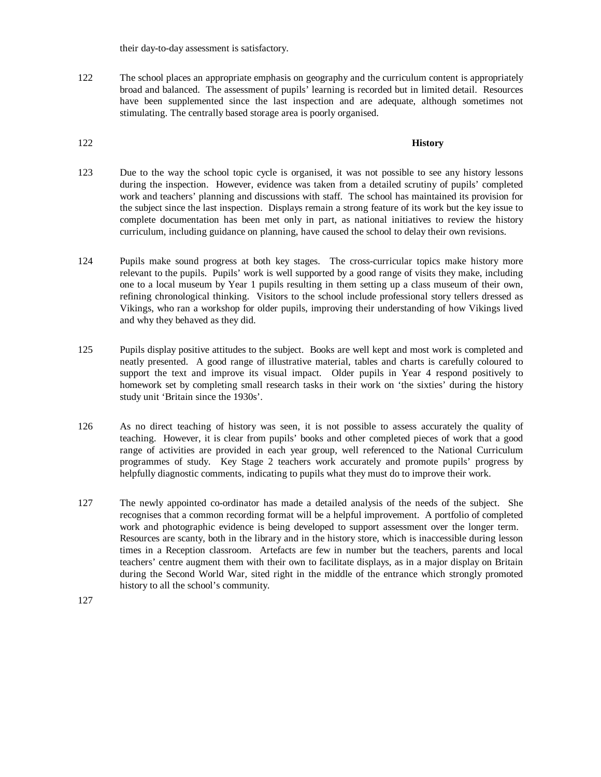their day-to-day assessment is satisfactory.

122 The school places an appropriate emphasis on geography and the curriculum content is appropriately broad and balanced. The assessment of pupils' learning is recorded but in limited detail. Resources have been supplemented since the last inspection and are adequate, although sometimes not stimulating. The centrally based storage area is poorly organised.

#### 122 **History**

- 123 Due to the way the school topic cycle is organised, it was not possible to see any history lessons during the inspection. However, evidence was taken from a detailed scrutiny of pupils' completed work and teachers' planning and discussions with staff. The school has maintained its provision for the subject since the last inspection. Displays remain a strong feature of its work but the key issue to complete documentation has been met only in part, as national initiatives to review the history curriculum, including guidance on planning, have caused the school to delay their own revisions.
- 124 Pupils make sound progress at both key stages. The cross-curricular topics make history more relevant to the pupils. Pupils' work is well supported by a good range of visits they make, including one to a local museum by Year 1 pupils resulting in them setting up a class museum of their own, refining chronological thinking. Visitors to the school include professional story tellers dressed as Vikings, who ran a workshop for older pupils, improving their understanding of how Vikings lived and why they behaved as they did.
- 125 Pupils display positive attitudes to the subject. Books are well kept and most work is completed and neatly presented. A good range of illustrative material, tables and charts is carefully coloured to support the text and improve its visual impact. Older pupils in Year 4 respond positively to homework set by completing small research tasks in their work on 'the sixties' during the history study unit 'Britain since the 1930s'.
- 126 As no direct teaching of history was seen, it is not possible to assess accurately the quality of teaching. However, it is clear from pupils' books and other completed pieces of work that a good range of activities are provided in each year group, well referenced to the National Curriculum programmes of study. Key Stage 2 teachers work accurately and promote pupils' progress by helpfully diagnostic comments, indicating to pupils what they must do to improve their work.
- 127 The newly appointed co-ordinator has made a detailed analysis of the needs of the subject. She recognises that a common recording format will be a helpful improvement. A portfolio of completed work and photographic evidence is being developed to support assessment over the longer term. Resources are scanty, both in the library and in the history store, which is inaccessible during lesson times in a Reception classroom. Artefacts are few in number but the teachers, parents and local teachers' centre augment them with their own to facilitate displays, as in a major display on Britain during the Second World War, sited right in the middle of the entrance which strongly promoted history to all the school's community.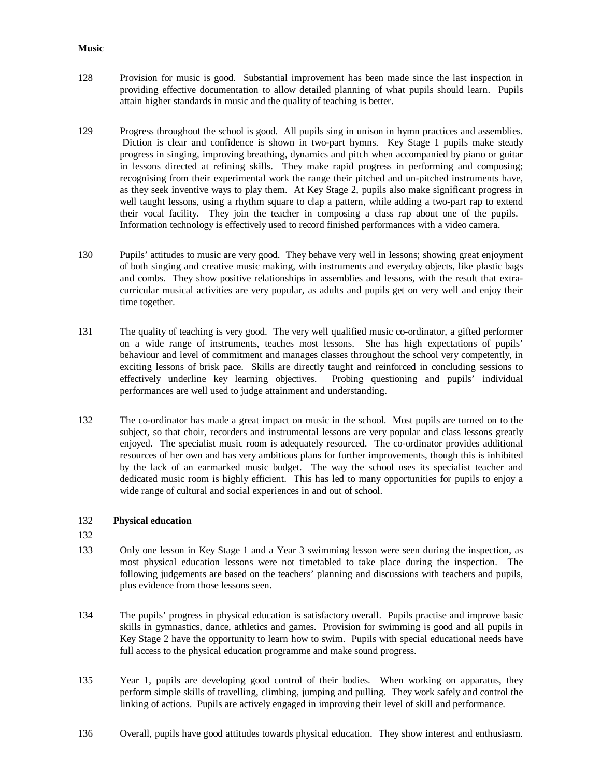#### **Music**

- 128 Provision for music is good. Substantial improvement has been made since the last inspection in providing effective documentation to allow detailed planning of what pupils should learn. Pupils attain higher standards in music and the quality of teaching is better.
- 129 Progress throughout the school is good. All pupils sing in unison in hymn practices and assemblies. Diction is clear and confidence is shown in two-part hymns. Key Stage 1 pupils make steady progress in singing, improving breathing, dynamics and pitch when accompanied by piano or guitar in lessons directed at refining skills. They make rapid progress in performing and composing; recognising from their experimental work the range their pitched and un-pitched instruments have, as they seek inventive ways to play them. At Key Stage 2, pupils also make significant progress in well taught lessons, using a rhythm square to clap a pattern, while adding a two-part rap to extend their vocal facility. They join the teacher in composing a class rap about one of the pupils. Information technology is effectively used to record finished performances with a video camera.
- 130 Pupils' attitudes to music are very good. They behave very well in lessons; showing great enjoyment of both singing and creative music making, with instruments and everyday objects, like plastic bags and combs. They show positive relationships in assemblies and lessons, with the result that extracurricular musical activities are very popular, as adults and pupils get on very well and enjoy their time together.
- 131 The quality of teaching is very good. The very well qualified music co-ordinator, a gifted performer on a wide range of instruments, teaches most lessons. She has high expectations of pupils' behaviour and level of commitment and manages classes throughout the school very competently, in exciting lessons of brisk pace. Skills are directly taught and reinforced in concluding sessions to effectively underline key learning objectives. Probing questioning and pupils' individual performances are well used to judge attainment and understanding.
- 132 The co-ordinator has made a great impact on music in the school. Most pupils are turned on to the subject, so that choir, recorders and instrumental lessons are very popular and class lessons greatly enjoyed. The specialist music room is adequately resourced. The co-ordinator provides additional resources of her own and has very ambitious plans for further improvements, though this is inhibited by the lack of an earmarked music budget. The way the school uses its specialist teacher and dedicated music room is highly efficient. This has led to many opportunities for pupils to enjoy a wide range of cultural and social experiences in and out of school.

## 132 **Physical education**

- 132
- 133 Only one lesson in Key Stage 1 and a Year 3 swimming lesson were seen during the inspection, as most physical education lessons were not timetabled to take place during the inspection. The following judgements are based on the teachers' planning and discussions with teachers and pupils, plus evidence from those lessons seen.
- 134 The pupils' progress in physical education is satisfactory overall. Pupils practise and improve basic skills in gymnastics, dance, athletics and games. Provision for swimming is good and all pupils in Key Stage 2 have the opportunity to learn how to swim. Pupils with special educational needs have full access to the physical education programme and make sound progress.
- 135 Year 1, pupils are developing good control of their bodies. When working on apparatus, they perform simple skills of travelling, climbing, jumping and pulling. They work safely and control the linking of actions. Pupils are actively engaged in improving their level of skill and performance.
- 136 Overall, pupils have good attitudes towards physical education. They show interest and enthusiasm.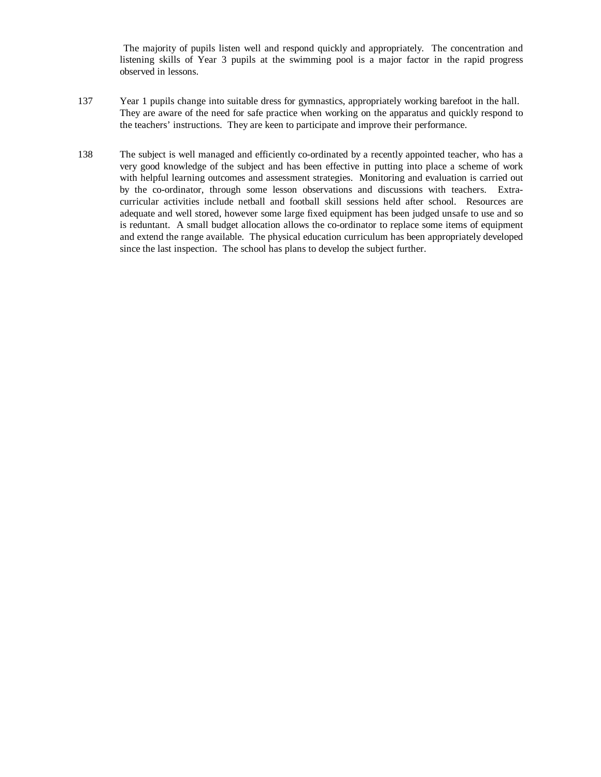The majority of pupils listen well and respond quickly and appropriately. The concentration and listening skills of Year 3 pupils at the swimming pool is a major factor in the rapid progress observed in lessons.

- 137 Year 1 pupils change into suitable dress for gymnastics, appropriately working barefoot in the hall. They are aware of the need for safe practice when working on the apparatus and quickly respond to the teachers' instructions. They are keen to participate and improve their performance.
- 138 The subject is well managed and efficiently co-ordinated by a recently appointed teacher, who has a very good knowledge of the subject and has been effective in putting into place a scheme of work with helpful learning outcomes and assessment strategies. Monitoring and evaluation is carried out by the co-ordinator, through some lesson observations and discussions with teachers. Extracurricular activities include netball and football skill sessions held after school. Resources are adequate and well stored, however some large fixed equipment has been judged unsafe to use and so is reduntant. A small budget allocation allows the co-ordinator to replace some items of equipment and extend the range available. The physical education curriculum has been appropriately developed since the last inspection. The school has plans to develop the subject further.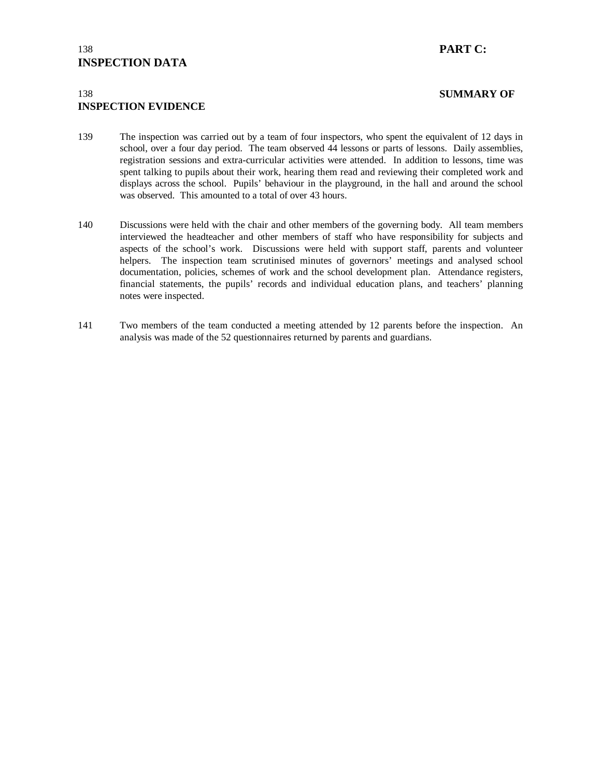# 138 **PART C: INSPECTION DATA**

# 138 **SUMMARY OF INSPECTION EVIDENCE**

- 139 The inspection was carried out by a team of four inspectors, who spent the equivalent of 12 days in school, over a four day period. The team observed 44 lessons or parts of lessons. Daily assemblies, registration sessions and extra-curricular activities were attended. In addition to lessons, time was spent talking to pupils about their work, hearing them read and reviewing their completed work and displays across the school. Pupils' behaviour in the playground, in the hall and around the school was observed. This amounted to a total of over 43 hours.
- 140 Discussions were held with the chair and other members of the governing body. All team members interviewed the headteacher and other members of staff who have responsibility for subjects and aspects of the school's work. Discussions were held with support staff, parents and volunteer helpers. The inspection team scrutinised minutes of governors' meetings and analysed school documentation, policies, schemes of work and the school development plan. Attendance registers, financial statements, the pupils' records and individual education plans, and teachers' planning notes were inspected.
- 141 Two members of the team conducted a meeting attended by 12 parents before the inspection. An analysis was made of the 52 questionnaires returned by parents and guardians.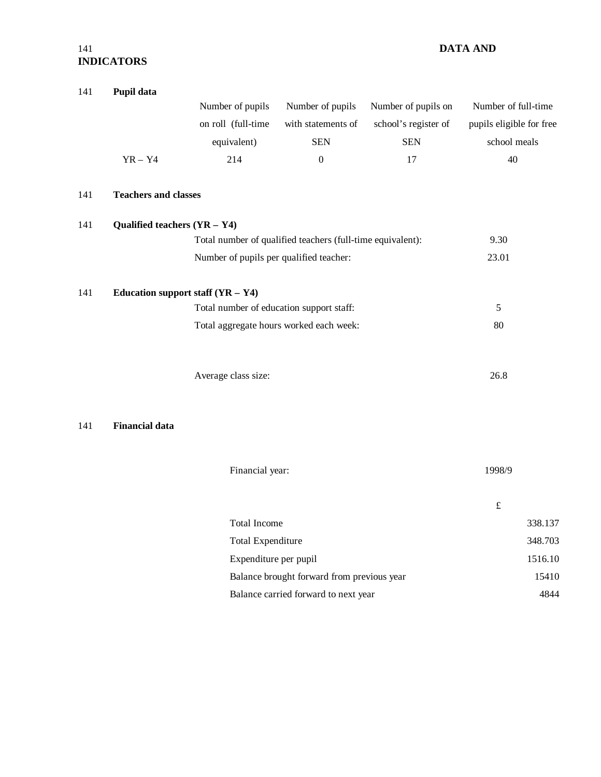# 141 **DATA AND INDICATORS**

| 141 | Pupil data                     |                                          |                                                            |                      |                          |         |
|-----|--------------------------------|------------------------------------------|------------------------------------------------------------|----------------------|--------------------------|---------|
|     |                                | Number of pupils                         | Number of pupils                                           | Number of pupils on  | Number of full-time      |         |
|     |                                | on roll (full-time                       | with statements of                                         | school's register of | pupils eligible for free |         |
|     |                                | equivalent)                              | <b>SEN</b>                                                 | <b>SEN</b>           | school meals             |         |
|     | $YR - Y4$                      | 214                                      | $\boldsymbol{0}$                                           | 17                   | 40                       |         |
| 141 | <b>Teachers and classes</b>    |                                          |                                                            |                      |                          |         |
| 141 | Qualified teachers $(YR - Y4)$ |                                          |                                                            |                      |                          |         |
|     |                                |                                          | Total number of qualified teachers (full-time equivalent): |                      | 9.30                     |         |
|     |                                | Number of pupils per qualified teacher:  |                                                            |                      | 23.01                    |         |
| 141 |                                | Education support staff $(YR - Y4)$      |                                                            |                      |                          |         |
|     |                                | Total number of education support staff: |                                                            |                      | 5                        |         |
|     |                                |                                          | Total aggregate hours worked each week:                    |                      | 80                       |         |
|     |                                |                                          |                                                            |                      |                          |         |
|     |                                | Average class size:                      |                                                            |                      | 26.8                     |         |
|     |                                |                                          |                                                            |                      |                          |         |
| 141 | <b>Financial data</b>          |                                          |                                                            |                      |                          |         |
|     |                                |                                          |                                                            |                      |                          |         |
|     |                                | Financial year:                          |                                                            |                      | 1998/9                   |         |
|     |                                |                                          |                                                            |                      | $\pounds$                |         |
|     |                                | <b>Total Income</b>                      |                                                            |                      |                          | 338.137 |
|     |                                | <b>Total Expenditure</b>                 |                                                            |                      |                          | 348.703 |
|     |                                | Expenditure per pupil                    |                                                            |                      |                          | 1516.10 |
|     |                                |                                          | Balance brought forward from previous year                 |                      |                          | 15410   |
|     |                                |                                          | Balance carried forward to next year                       |                      |                          | 4844    |
|     |                                |                                          |                                                            |                      |                          |         |
|     |                                |                                          |                                                            |                      |                          |         |
|     |                                |                                          |                                                            |                      |                          |         |
|     |                                |                                          |                                                            |                      |                          |         |